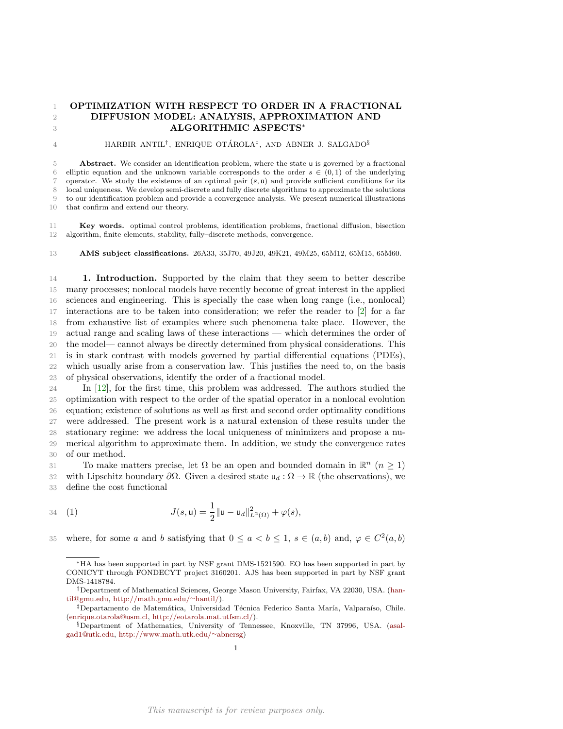## OPTIMIZATION WITH RESPECT TO ORDER IN A FRACTIONAL DIFFUSION MODEL: ANALYSIS, APPROXIMATION AND ALGORITHMIC ASPECTS<sup>∗</sup>

## 4 HARBIR ANTIL<sup>†</sup>, ENRIQUE OTÁROLA<sup>‡</sup>, AND ABNER J. SALGADO<sup>§</sup>

**Abstract.** We consider an identification problem, where the state u is governed by a fractional 6 elliptic equation and the unknown variable corresponds to the order  $s \in (0,1)$  of the underlying 7 operator. We study the existence of an optimal pair  $(\bar{s}, \bar{u})$  and provide sufficient conditions for its local uniqueness. We develop semi-discrete and fully discrete algorithms to approximate the solutions to our identification problem and provide a convergence analysis. We present numerical illustrations that confirm and extend our theory.

 Key words. optimal control problems, identification problems, fractional diffusion, bisection algorithm, finite elements, stability, fully–discrete methods, convergence.

AMS subject classifications. 26A33, 35J70, 49J20, 49K21, 49M25, 65M12, 65M15, 65M60.

**1. Introduction.** Supported by the claim that they seem to better describe many processes; nonlocal models have recently become of great interest in the applied sciences and engineering. This is specially the case when long range (i.e., nonlocal) interactions are to be taken into consideration; we refer the reader to [\[2\]](#page-18-0) for a far from exhaustive list of examples where such phenomena take place. However, the actual range and scaling laws of these interactions — which determines the order of the model— cannot always be directly determined from physical considerations. This is in stark contrast with models governed by partial differential equations (PDEs), which usually arise from a conservation law. This justifies the need to, on the basis of physical observations, identify the order of a fractional model.

 In [\[12\]](#page-18-1), for the first time, this problem was addressed. The authors studied the optimization with respect to the order of the spatial operator in a nonlocal evolution equation; existence of solutions as well as first and second order optimality conditions were addressed. The present work is a natural extension of these results under the stationary regime: we address the local uniqueness of minimizers and propose a nu- merical algorithm to approximate them. In addition, we study the convergence rates of our method.

31 To make matters precise, let  $\Omega$  be an open and bounded domain in  $\mathbb{R}^n$   $(n \geq 1)$ 32 with Lipschitz boundary  $\partial \Omega$ . Given a desired state  $u_d : \Omega \to \mathbb{R}$  (the observations), we define the cost functional

34 (1) 
$$
J(s, \mathbf{u}) = \frac{1}{2} ||\mathbf{u} - \mathbf{u}_d||^2_{L^2(\Omega)} + \varphi(s),
$$

35 where, for some a and b satisfying that  $0 \le a < b \le 1$ ,  $s \in (a, b)$  and,  $\varphi \in C^2(a, b)$ 

<span id="page-0-0"></span><sup>∗</sup>HA has been supported in part by NSF grant DMS-1521590. EO has been supported in part by CONICYT through FONDECYT project 3160201. AJS has been supported in part by NSF grant DMS-1418784.

<sup>†</sup>Department of Mathematical Sciences, George Mason University, Fairfax, VA 22030, USA. [\(han](mailto:hantil@gmu.edu)[til@gmu.edu,](mailto:hantil@gmu.edu) [http://math.gmu.edu/](http://math.gmu.edu/~hantil/)∼hantil/).

<sup>&</sup>lt;sup>‡</sup>Departamento de Matemática, Universidad Técnica Federico Santa María, Valparaíso, Chile. [\(enrique.otarola@usm.cl,](mailto:enrique.otarola@usm.cl) [http://eotarola.mat.utfsm.cl/\)](http://eotarola.mat.utfsm.cl/).

<sup>§</sup>Department of Mathematics, University of Tennessee, Knoxville, TN 37996, USA. [\(asal](mailto:asalgad1@utk.edu)[gad1@utk.edu,](mailto:asalgad1@utk.edu) [http://www.math.utk.edu/](http://www.math.utk.edu/~abnersg)∼abnersg)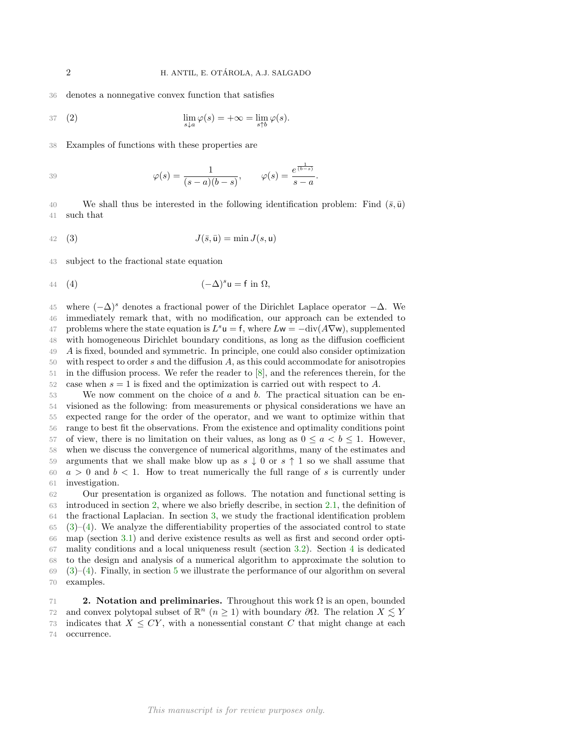36 denotes a nonnegative convex function that satisfies

<span id="page-1-3"></span>37 (2) 
$$
\lim_{s \downarrow a} \varphi(s) = +\infty = \lim_{s \uparrow b} \varphi(s).
$$

38 Examples of functions with these properties are

$$
\varphi(s) = \frac{1}{(s-a)(b-s)}, \qquad \varphi(s) = \frac{e^{\frac{1}{(b-s)}}}{s-a}.
$$

40 We shall thus be interested in the following identification problem: Find  $(\bar{s}, \bar{u})$ 41 such that

<span id="page-1-1"></span>
$$
J(\bar{s}, \bar{u}) = \min J(s, u)
$$

43 subject to the fractional state equation

<span id="page-1-2"></span>
$$
(4) \qquad \qquad (-\Delta)^s \mathsf{u} = \mathsf{f} \text{ in } \Omega,
$$

45 where  $(-\Delta)$ <sup>s</sup> denotes a fractional power of the Dirichlet Laplace operator  $-\Delta$ . We immediately remark that, with no modification, our approach can be extended to 47 problems where the state equation is  $L^s u = f$ , where  $Lw = -\text{div}(A\nabla w)$ , supplemented with homogeneous Dirichlet boundary conditions, as long as the diffusion coefficient A is fixed, bounded and symmetric. In principle, one could also consider optimization with respect to order s and the diffusion A, as this could accommodate for anisotropies in the diffusion process. We refer the reader to [\[8\]](#page-18-2), and the references therein, for the 52 case when  $s = 1$  is fixed and the optimization is carried out with respect to A.

 We now comment on the choice of a and b. The practical situation can be en- visioned as the following: from measurements or physical considerations we have an expected range for the order of the operator, and we want to optimize within that range to best fit the observations. From the existence and optimality conditions point 57 of view, there is no limitation on their values, as long as  $0 \le a < b \le 1$ . However, when we discuss the convergence of numerical algorithms, many of the estimates and 59 arguments that we shall make blow up as  $s \downarrow 0$  or  $s \uparrow 1$  so we shall assume that  $a > 0$  and  $b < 1$ . How to treat numerically the full range of s is currently under investigation.

 Our presentation is organized as follows. The notation and functional setting is introduced in section [2,](#page-1-0) where we also briefly describe, in section [2.1,](#page-2-0) the definition of the fractional Laplacian. In section [3,](#page-2-1) we study the fractional identification problem  $(3)-(4)$  $(3)-(4)$  $(3)-(4)$ . We analyze the differentiability properties of the associated control to state map (section [3.1\)](#page-2-2) and derive existence results as well as first and second order opti- mality conditions and a local uniqueness result (section [3.2\)](#page-4-0). Section [4](#page-7-0) is dedicated to the design and analysis of a numerical algorithm to approximate the solution to  $69 \quad (3)-(4)$  $69 \quad (3)-(4)$  $69 \quad (3)-(4)$  $69 \quad (3)-(4)$ . Finally, in section [5](#page-15-0) we illustrate the performance of our algorithm on several examples.

<span id="page-1-0"></span>71 2. Notation and preliminaries. Throughout this work  $\Omega$  is an open, bounded 72 and convex polytopal subset of  $\mathbb{R}^n$  ( $n \geq 1$ ) with boundary  $\partial \Omega$ . The relation  $X \leq Y$ 73 indicates that  $X \le CY$ , with a nonessential constant C that might change at each 74 occurrence.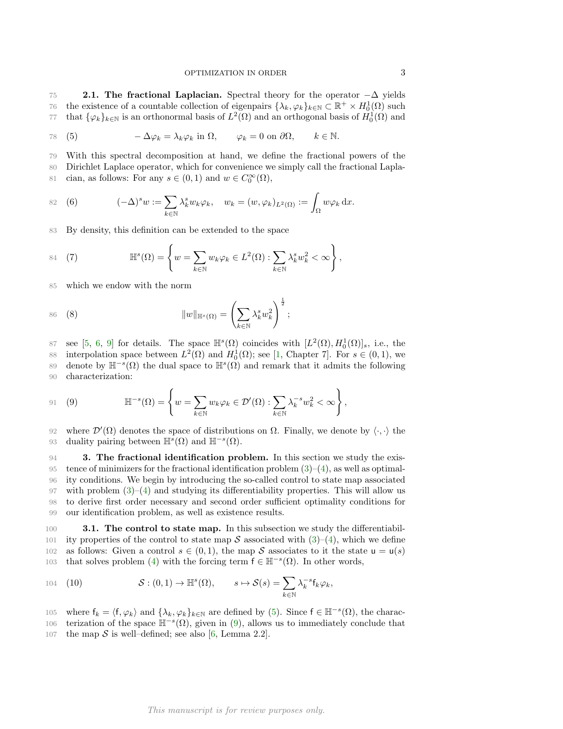<span id="page-2-0"></span>75 2.1. The fractional Laplacian. Spectral theory for the operator  $-\Delta$  yields 76 the existence of a countable collection of eigenpairs  $\{\lambda_k, \varphi_k\}_{k\in\mathbb{N}} \subset \mathbb{R}^+ \times H_0^1(\Omega)$  such <sup>77</sup> that  $\{\varphi_k\}_{k\in\mathbb{N}}$  is an orthonormal basis of  $L^2(\Omega)$  and an orthogonal basis of  $H_0^1(\Omega)$  and

<span id="page-2-3"></span>78 (5) 
$$
-\Delta \varphi_k = \lambda_k \varphi_k
$$
 in  $\Omega$ ,  $\varphi_k = 0$  on  $\partial \Omega$ ,  $k \in \mathbb{N}$ .

79 With this spectral decomposition at hand, we define the fractional powers of the

80 Dirichlet Laplace operator, which for convenience we simply call the fractional Lapla-81 cian, as follows: For any  $s \in (0,1)$  and  $w \in C_0^{\infty}(\Omega)$ ,

82 (6) 
$$
(-\Delta)^s w := \sum_{k \in \mathbb{N}} \lambda_k^s w_k \varphi_k, \quad w_k = (w, \varphi_k)_{L^2(\Omega)} := \int_{\Omega} w \varphi_k \, dx.
$$

83 By density, this definition can be extended to the space

84 (7) 
$$
\mathbb{H}^{s}(\Omega) = \left\{ w = \sum_{k \in \mathbb{N}} w_{k} \varphi_{k} \in L^{2}(\Omega) : \sum_{k \in \mathbb{N}} \lambda_{k}^{s} w_{k}^{2} < \infty \right\},\
$$

85 which we endow with the norm

86 (8) 
$$
||w||_{\mathbb{H}^s(\Omega)} = \left(\sum_{k \in \mathbb{N}} \lambda_k^s w_k^2\right)^{\frac{1}{2}};
$$

87 see [\[5,](#page-18-3) [6,](#page-18-4) [9\]](#page-18-5) for details. The space  $\mathbb{H}^s(\Omega)$  coincides with  $[L^2(\Omega), H_0^1(\Omega)]_s$ , i.e., the 88 interpolation space between  $L^2(\Omega)$  and  $H_0^1(\Omega)$ ; see [\[1,](#page-18-6) Chapter 7]. For  $s \in (0,1)$ , we 89 denote by  $\mathbb{H}^{-s}(\Omega)$  the dual space to  $\mathbb{H}^{s}(\Omega)$  and remark that it admits the following 90 characterization:

<span id="page-2-4"></span>91 (9) 
$$
\mathbb{H}^{-s}(\Omega) = \left\{ w = \sum_{k \in \mathbb{N}} w_k \varphi_k \in \mathcal{D}'(\Omega) : \sum_{k \in \mathbb{N}} \lambda_k^{-s} w_k^2 < \infty \right\},
$$

92 where  $\mathcal{D}'(\Omega)$  denotes the space of distributions on  $\Omega$ . Finally, we denote by  $\langle \cdot, \cdot \rangle$  the 93 duality pairing between  $\mathbb{H}^{s}(\Omega)$  and  $\mathbb{H}^{-s}(\Omega)$ .

<span id="page-2-1"></span> 3. The fractional identification problem. In this section we study the exis-95 tence of minimizers for the fractional identification problem  $(3)-(4)$  $(3)-(4)$ , as well as optimal- ity conditions. We begin by introducing the so-called control to state map associated 97 with problem  $(3)-(4)$  $(3)-(4)$  and studying its differentiability properties. This will allow us to derive first order necessary and second order sufficient optimality conditions for our identification problem, as well as existence results.

<span id="page-2-2"></span>100 **3.1. The control to state map.** In this subsection we study the differentiabil-101 ity properties of the control to state map S associated with  $(3)-(4)$  $(3)-(4)$ , which we define 102 as follows: Given a control  $s \in (0,1)$ , the map S associates to it the state  $u = u(s)$ 103 that solves problem [\(4\)](#page-1-2) with the forcing term  $f \in \mathbb{H}^{-s}(\Omega)$ . In other words,

<span id="page-2-5"></span>104 (10) 
$$
\mathcal{S}: (0,1) \to \mathbb{H}^s(\Omega), \qquad s \mapsto \mathcal{S}(s) = \sum_{k \in \mathbb{N}} \lambda_k^{-s} \mathsf{f}_k \varphi_k,
$$

105 where  $f_k = \langle f, \varphi_k \rangle$  and  $\{\lambda_k, \varphi_k\}_{k \in \mathbb{N}}$  are defined by [\(5\)](#page-2-3). Since  $f \in \mathbb{H}^{-s}(\Omega)$ , the charac-106 terization of the space  $\mathbb{H}^{-s}(\Omega)$ , given in [\(9\)](#page-2-4), allows us to immediately conclude that

107 the map  $S$  is well–defined; see also [\[6,](#page-18-4) Lemma 2.2].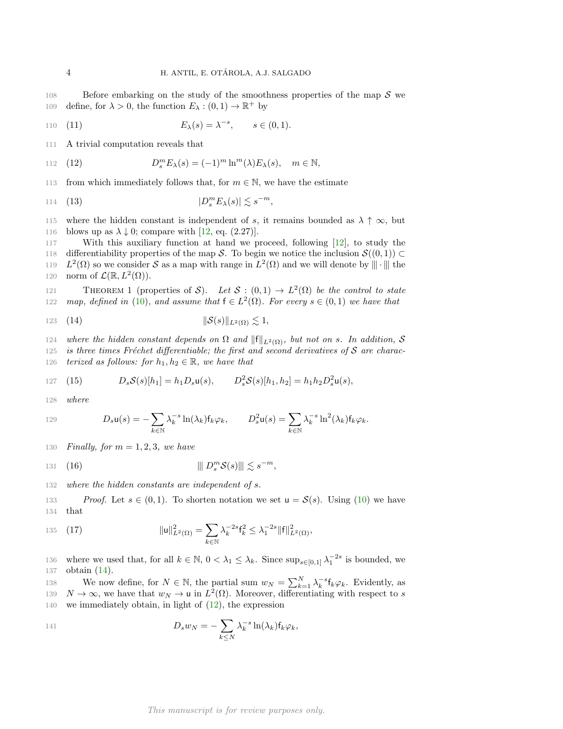108 Before embarking on the study of the smoothness properties of the map  $S$  we 109 define, for  $\lambda > 0$ , the function  $E_{\lambda} : (0,1) \to \mathbb{R}^+$  by

110 (11) 
$$
E_{\lambda}(s) = \lambda^{-s}, \quad s \in (0,1).
$$

111 A trivial computation reveals that

<span id="page-3-1"></span>112 (12) 
$$
D_s^m E_\lambda(s) = (-1)^m \ln^m(\lambda) E_\lambda(s), \quad m \in \mathbb{N},
$$

113 from which immediately follows that, for  $m \in \mathbb{N}$ , we have the estimate

<span id="page-3-2"></span>
$$
114 \quad (13) \qquad \qquad |D_s^m E_\lambda(s)| \lesssim s^{-m},
$$

115 where the hidden constant is independent of s, it remains bounded as  $\lambda \uparrow \infty$ , but 116 blows up as  $\lambda \downarrow 0$ ; compare with [\[12,](#page-18-1) eq. (2.27)].

117 With this auxiliary function at hand we proceed, following [\[12\]](#page-18-1), to study the 118 differentiability properties of the map S. To begin we notice the inclusion  $\mathcal{S}((0,1)) \subset$ 119  $L^2(\Omega)$  so we consider S as a map with range in  $L^2(\Omega)$  and we will denote by  $\|\cdot\|$  the 120 norm of  $\mathcal{L}(\mathbb{R}, L^2(\Omega)).$ 

<span id="page-3-5"></span>THEOREM 1 (properties of S). Let  $S : (0,1) \to L^2(\Omega)$  be the control to state 122 map, defined in [\(10\)](#page-2-5), and assume that  $f \in L^2(\Omega)$ . For every  $s \in (0,1)$  we have that

<span id="page-3-0"></span>
$$
123 \quad (14) \qquad \qquad \|\mathcal{S}(s)\|_{L^2(\Omega)} \lesssim 1,
$$

124 where the hidden constant depends on  $\Omega$  and  $||f||_{L^2(\Omega)}$ , but not on s. In addition, S 125 is three times Fréchet differentiable; the first and second derivatives of  $S$  are charac-

126 terized as follows: for  $h_1, h_2 \in \mathbb{R}$ , we have that

<span id="page-3-3"></span>127 (15) 
$$
D_s S(s)[h_1] = h_1 D_s u(s), \qquad D_s^2 S(s)[h_1, h_2] = h_1 h_2 D_s^2 u(s),
$$

128 where

129 
$$
D_s \mathbf{u}(s) = -\sum_{k \in \mathbb{N}} \lambda_k^{-s} \ln(\lambda_k) \mathbf{f}_k \varphi_k, \qquad D_s^2 \mathbf{u}(s) = \sum_{k \in \mathbb{N}} \lambda_k^{-s} \ln^2(\lambda_k) \mathbf{f}_k \varphi_k.
$$

130 Finally, for  $m = 1, 2, 3$ , we have

<span id="page-3-4"></span>
$$
\text{131} \quad (16) \quad \|\hspace{.1cm} D_s^m \mathcal{S}(s) \| \lesssim s^{-m},
$$

132 where the hidden constants are independent of s.

133 Proof. Let  $s \in (0,1)$ . To shorten notation we set  $u = \mathcal{S}(s)$ . Using [\(10\)](#page-2-5) we have 134 that

135 (17) 
$$
\|u\|_{L^2(\Omega)}^2 = \sum_{k\in\mathbb{N}} \lambda_k^{-2s} f_k^2 \leq \lambda_1^{-2s} \|f\|_{L^2(\Omega)}^2,
$$

136 where we used that, for all  $k \in \mathbb{N}$ ,  $0 < \lambda_1 \leq \lambda_k$ . Since  $\sup_{s \in [0,1]} \lambda_1^{-2s}$  is bounded, we 137 obtain [\(14\)](#page-3-0).

138 We now define, for  $N \in \mathbb{N}$ , the partial sum  $w_N = \sum_{k=1}^N \lambda_k^{-s} f_k \varphi_k$ . Evidently, as 139  $N \to \infty$ , we have that  $w_N \to u$  in  $L^2(\Omega)$ . Moreover, differentiating with respect to s 140 we immediately obtain, in light of [\(12\)](#page-3-1), the expression

141 
$$
D_s w_N = -\sum_{k \leq N} \lambda_k^{-s} \ln(\lambda_k) f_k \varphi_k,
$$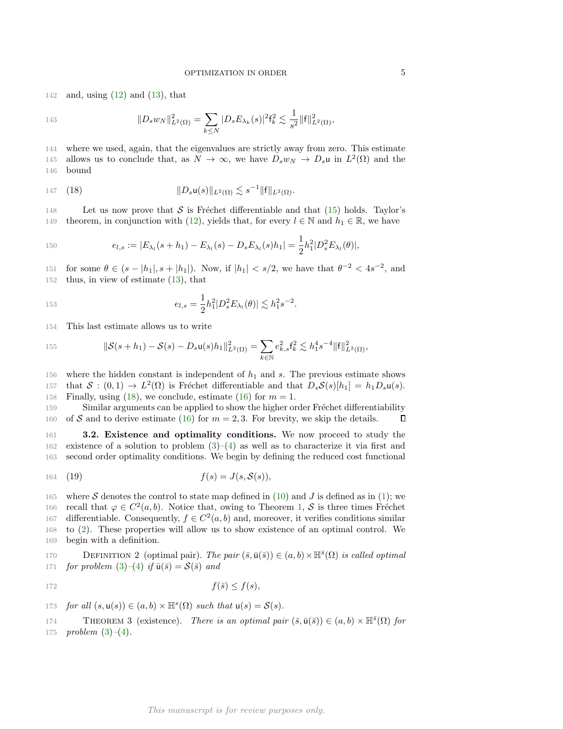142 and, using  $(12)$  and  $(13)$ , that

$$
||D_s w_N||_{L^2(\Omega)}^2 = \sum_{k \le N} |D_s E_{\lambda_k}(s)|^2 f_k^2 \lesssim \frac{1}{s^2} ||f||_{L^2(\Omega)}^2,
$$

144 where we used, again, that the eigenvalues are strictly away from zero. This estimate 145 allows us to conclude that, as  $N \to \infty$ , we have  $D_s w_N \to D_s u$  in  $L^2(\Omega)$  and the 146 bound

<span id="page-4-1"></span>147 (18) 
$$
||D_s u(s)||_{L^2(\Omega)} \lesssim s^{-1} ||f||_{L^2(\Omega)}.
$$

148 Let us now prove that  $S$  is Fréchet differentiable and that [\(15\)](#page-3-3) holds. Taylor's 149 theorem, in conjunction with [\(12\)](#page-3-1), yields that, for every  $l \in \mathbb{N}$  and  $h_1 \in \mathbb{R}$ , we have

$$
e_{l,s} := |E_{\lambda_l}(s+h_1) - E_{\lambda_l}(s) - D_s E_{\lambda_l}(s)h_1| = \frac{1}{2}h_1^2|D_s^2 E_{\lambda_l}(\theta)|,
$$

151 for some  $\theta \in (s - |h_1|, s + |h_1|)$ . Now, if  $|h_1| < s/2$ , we have that  $\theta^{-2} < 4s^{-2}$ , and 152 thus, in view of estimate [\(13\)](#page-3-2), that

$$
e_{l,s} = \frac{1}{2}h_1^2|D_s^2E_{\lambda_l}(\theta)| \lesssim h_1^2s^{-2}.
$$

154 This last estimate allows us to write

155 
$$
\|\mathcal{S}(s+h_1)-\mathcal{S}(s)-D_s\mathbf{u}(s)h_1\|_{L^2(\Omega)}^2=\sum_{k\in\mathbb{N}}e_{k,s}^2\mathbf{f}_k^2\lesssim h_1^4s^{-4}\|\mathbf{f}\|_{L^2(\Omega)}^2,
$$

156 where the hidden constant is independent of  $h_1$  and s. The previous estimate shows 157 that  $S : (0,1) \to L^2(\Omega)$  is Fréchet differentiable and that  $D_sS(s)[h_1] = h_1D_s\mathfrak{u}(s)$ . 158 Finally, using [\(18\)](#page-4-1), we conclude, estimate [\(16\)](#page-3-4) for  $m = 1$ .

159 Similar arguments can be applied to show the higher order Fréchet differentiability 160 of S and to derive estimate [\(16\)](#page-3-4) for  $m = 2, 3$ . For brevity, we skip the details. П

<span id="page-4-0"></span>161 3.2. Existence and optimality conditions. We now proceed to study the 162 existence of a solution to problem  $(3)-(4)$  $(3)-(4)$  as well as to characterize it via first and 163 second order optimality conditions. We begin by defining the reduced cost functional

<span id="page-4-3"></span>
$$
164 \quad (19) \qquad \qquad f(s) = J(s, \mathcal{S}(s)),
$$

165 where S denotes the control to state map defined in [\(10\)](#page-2-5) and J is defined as in [\(1\)](#page-0-0); we 166 recall that  $\varphi \in C^2(a, b)$ . Notice that, owing to Theorem [1,](#page-3-5) S is three times Fréchet 167 differentiable. Consequently,  $f \in C^2(a, b)$  and, moreover, it verifies conditions similar 168 to [\(2\)](#page-1-3). These properties will allow us to show existence of an optimal control. We 169 begin with a definition.

170 DEFINITION 2 (optimal pair). The pair  $(\bar{s}, \bar{u}(\bar{s})) \in (a, b) \times \mathbb{H}^{\bar{s}}(\Omega)$  is called optimal 171 for problem  $(3)-(4)$  $(3)-(4)$  $(3)-(4)$  if  $\bar{u}(\bar{s}) = \mathcal{S}(\bar{s})$  and

$$
f(\bar{s}) \le f(s),
$$

173 for all  $(s, u(s)) \in (a, b) \times \mathbb{H}^s(\Omega)$  such that  $u(s) = \mathcal{S}(s)$ .

<span id="page-4-2"></span>THEOREM 3 (existence). There is an optimal pair  $(\bar{s}, \bar{u}(\bar{s})) \in (a, b) \times \mathbb{H}^{\bar{s}}(\Omega)$  for 175 *problem*  $(3)-(4)$  $(3)-(4)$  $(3)-(4)$ .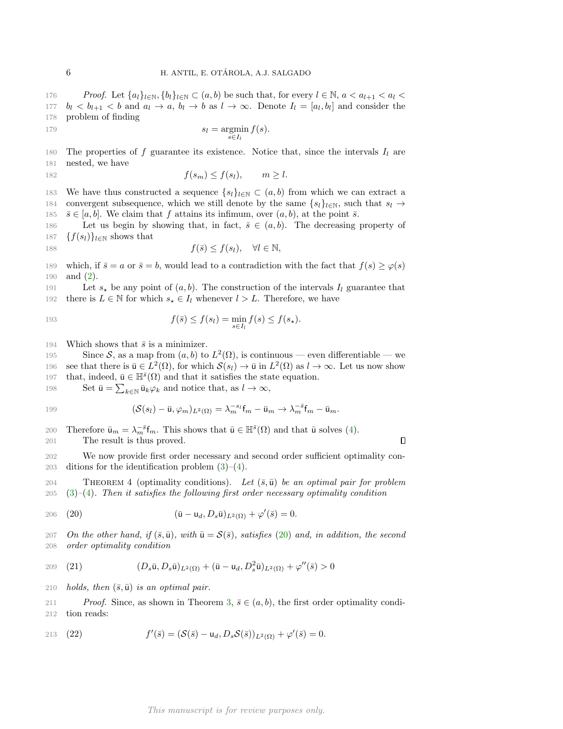176 Proof. Let  $\{a_l\}_{l\in\mathbb{N}}, \{b_l\}_{l\in\mathbb{N}} \subset (a, b)$  be such that, for every  $l \in \mathbb{N}, a < a_{l+1} < a_l < a_l$ 177  $b_l < b_{l+1} < b$  and  $a_l \to a$ ,  $b_l \to b$  as  $l \to \infty$ . Denote  $I_l = [a_l, b_l]$  and consider the 178 problem of finding

$$
s_l = \operatorname*{argmin}_{s \in I_l} f(s).
$$

180 The properties of f guarantee its existence. Notice that, since the intervals  $I_l$  are 181 nested, we have

$$
182 \t\t f(s_m) \le f(s_l), \t m \ge l.
$$

183 We have thus constructed a sequence  $\{s_l\}_{l\in\mathbb{N}}\subset (a, b)$  from which we can extract a 184 convergent subsequence, which we still denote by the same  $\{s_l\}_{l\in\mathbb{N}}$ , such that  $s_l \to$ 185  $\bar{s} \in [a, b]$ . We claim that f attains its infimum, over  $(a, b)$ , at the point  $\bar{s}$ .

186 Let us begin by showing that, in fact,  $\bar{s} \in (a, b)$ . The decreasing property of 187  $\{f(s_l)\}_{l\in\mathbb{N}}$  shows that

188 
$$
f(\bar{s}) \le f(s_l), \quad \forall l \in \mathbb{N},
$$

189 which, if  $\bar{s} = a$  or  $\bar{s} = b$ , would lead to a contradiction with the fact that  $f(s) \ge \varphi(s)$ 190 and [\(2\)](#page-1-3).

191 Let  $s_{\star}$  be any point of  $(a, b)$ . The construction of the intervals  $I_l$  guarantee that 192 there is  $L \in \mathbb{N}$  for which  $s_{\star} \in I_l$  whenever  $l > L$ . Therefore, we have

193 
$$
f(\bar{s}) \le f(s_l) = \min_{s \in I_l} f(s) \le f(s_\star).
$$

194 Which shows that  $\bar{s}$  is a minimizer.

195 Since S, as a map from  $(a, b)$  to  $L^2(\Omega)$ , is continuous — even differentiable — we 196 see that there is  $\bar{u} \in L^2(\Omega)$ , for which  $\mathcal{S}(s_l) \to \bar{u}$  in  $L^2(\Omega)$  as  $l \to \infty$ . Let us now show 197 that, indeed,  $\bar{u} \in \mathbb{H}^{\bar{s}}(\Omega)$  and that it satisfies the state equation.

198 Set  $\bar{\mathbf{u}} = \sum_{k \in \mathbb{N}} \bar{\mathbf{u}}_k \varphi_k$  and notice that, as  $l \to \infty$ ,

199 
$$
(\mathcal{S}(s_l) - \bar{\mathbf{u}}, \varphi_m)_{L^2(\Omega)} = \lambda_m^{-s_l} \mathbf{f}_m - \bar{\mathbf{u}}_m \to \lambda_m^{-\bar{s}} \mathbf{f}_m - \bar{\mathbf{u}}_m.
$$

200 Therefore  $\bar{\mathbf{u}}_m = \lambda_m^{-\bar{s}} \mathbf{f}_m$ . This shows that  $\bar{\mathbf{u}} \in \mathbb{H}^{\bar{s}}(\Omega)$  and that  $\bar{\mathbf{u}}$  solves [\(4\)](#page-1-2). 201 The result is thus proved.

 $\Box$ 

202 We now provide first order necessary and second order sufficient optimality con-203 ditions for the identification problem  $(3)-(4)$  $(3)-(4)$ .

204 THEOREM 4 (optimality conditions). Let  $(\bar{s}, \bar{u})$  be an optimal pair for problem  $205$  [\(3\)](#page-1-1)–[\(4\)](#page-1-2). Then it satisfies the following first order necessary optimality condition

<span id="page-5-0"></span>(20) 
$$
(\bar{u} - u_d, D_s \bar{u})_{L^2(\Omega)} + \varphi'(\bar{s}) = 0.
$$

207 On the other hand, if  $(\bar{s}, \bar{u})$ , with  $\bar{u} = S(\bar{s})$ , satisfies [\(20\)](#page-5-0) and, in addition, the second 208 order optimality condition

<span id="page-5-1"></span>209 (21) 
$$
(D_s \bar{u}, D_s \bar{u})_{L^2(\Omega)} + (\bar{u} - u_d, D_s^2 \bar{u})_{L^2(\Omega)} + \varphi''(\bar{s}) > 0
$$

210 *holds, then*  $(\bar{s}, \bar{u})$  *is an optimal pair.* 

211 Proof. Since, as shown in Theorem [3,](#page-4-2)  $\bar{s} \in (a, b)$ , the first order optimality condi-212 tion reads:

213 (22) 
$$
f'(\bar{s}) = (\mathcal{S}(\bar{s}) - \mathsf{u}_d, D_s \mathcal{S}(\bar{s}))_{L^2(\Omega)} + \varphi'(\bar{s}) = 0.
$$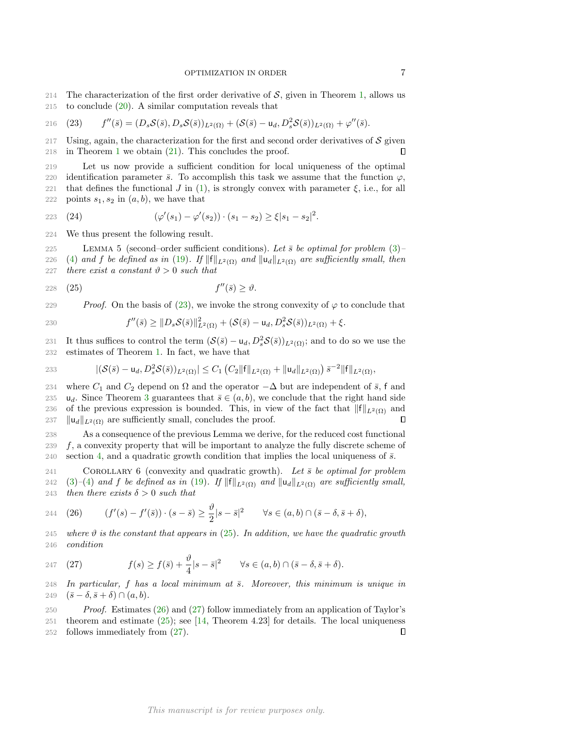214 The characterization of the first order derivative of  $S$ , given in Theorem [1,](#page-3-5) allows us 215 to conclude  $(20)$ . A similar computation reveals that

<span id="page-6-0"></span>216 (23) 
$$
f''(\bar{s})=(D_s\mathcal{S}(\bar{s}),D_s\mathcal{S}(\bar{s}))_{L^2(\Omega)}+(\mathcal{S}(\bar{s})-u_d,D_s^2\mathcal{S}(\bar{s}))_{L^2(\Omega)}+\varphi''(\bar{s}).
$$

217 Using, again, the characterization for the first and second order derivatives of  $\mathcal S$  given 2[1](#page-3-5)8 in Theorem 1 we obtain  $(21)$ . This concludes the proof. Л

219 Let us now provide a sufficient condition for local uniqueness of the optimal 220 identification parameter  $\bar{s}$ . To accomplish this task we assume that the function  $\varphi$ , 221 that defines the functional J in [\(1\)](#page-0-0), is strongly convex with parameter  $\xi$ , i.e., for all 222 points  $s_1, s_2$  in  $(a, b)$ , we have that

223 (24) 
$$
(\varphi'(s_1) - \varphi'(s_2)) \cdot (s_1 - s_2) \ge \xi |s_1 - s_2|^2.
$$

224 We thus present the following result.

225 LEMMA 5 (second–order sufficient conditions). Let  $\bar{s}$  be optimal for problem [\(3\)](#page-1-1)– 226 [\(4\)](#page-1-2) and f be defined as in [\(19\)](#page-4-3). If  $\|\mathbf{f}\|_{L^2(\Omega)}$  and  $\|\mathbf{u}_d\|_{L^2(\Omega)}$  are sufficiently small, then 227 there exist a constant  $\vartheta > 0$  such that

<span id="page-6-1"></span> $(25)$  f 228 (25)  $f''(\bar{s}) > \vartheta$ .

229 Proof. On the basis of [\(23\)](#page-6-0), we invoke the strong convexity of  $\varphi$  to conclude that

230 
$$
f''(\bar{s}) \geq ||D_s \mathcal{S}(\bar{s})||_{L^2(\Omega)}^2 + (\mathcal{S}(\bar{s}) - \mathsf{u}_d, D_s^2 \mathcal{S}(\bar{s}))_{L^2(\Omega)} + \xi.
$$

231 It thus suffices to control the term  $(\mathcal{S}(\bar{s}) - u_d, D_s^2 \mathcal{S}(\bar{s}))_{L^2(\Omega)}$ ; and to do so we use the 232 estimates of Theorem [1.](#page-3-5) In fact, we have that

233 
$$
|(\mathcal{S}(\bar{s})-u_d, D_s^2 \mathcal{S}(\bar{s}))_{L^2(\Omega)}| \leq C_1 (C_2 ||f||_{L^2(\Omega)} + ||u_d||_{L^2(\Omega)}) \, \bar{s}^{-2} ||f||_{L^2(\Omega)},
$$

234 where  $C_1$  and  $C_2$  depend on  $\Omega$  and the operator  $-\Delta$  but are independent of  $\bar{s}$ , f and 2[3](#page-4-2)5 u<sub>d</sub>. Since Theorem 3 guarantees that  $\bar{s} \in (a, b)$ , we conclude that the right hand side 236 of the previous expression is bounded. This, in view of the fact that  $||f||_{L^2(\Omega)}$  and 237  $\|u_d\|_{L^2(\Omega)}$  are sufficiently small, concludes the proof. П

238 As a consequence of the previous Lemma we derive, for the reduced cost functional  $239 \text{ f}$ , a convexity property that will be important to analyze the fully discrete scheme of 240 section [4,](#page-7-0) and a quadratic growth condition that implies the local uniqueness of  $\bar{s}$ .

<span id="page-6-4"></span>241 COROLLARY 6 (convexity and quadratic growth). Let  $\bar{s}$  be optimal for problem 242 [\(3\)](#page-1-1)–[\(4\)](#page-1-2) and f be defined as in [\(19\)](#page-4-3). If  $||f||_{L^2(\Omega)}$  and  $||u_d||_{L^2(\Omega)}$  are sufficiently small, 243 then there exists  $\delta > 0$  such that

<span id="page-6-2"></span>244 (26) 
$$
(f'(s) - f'(\bar{s})) \cdot (s - \bar{s}) \ge \frac{\vartheta}{2}|s - \bar{s}|^2 \quad \forall s \in (a, b) \cap (\bar{s} - \delta, \bar{s} + \delta),
$$

245 where  $\vartheta$  is the constant that appears in [\(25\)](#page-6-1). In addition, we have the quadratic growth 246 condition

<span id="page-6-3"></span>247 (27) 
$$
f(s) \ge f(\bar{s}) + \frac{\vartheta}{4}|s-\bar{s}|^2 \quad \forall s \in (a,b) \cap (\bar{s}-\delta, \bar{s}+\delta).
$$

248 In particular, f has a local minimum at  $\bar{s}$ . Moreover, this minimum is unique in 249  $(\bar{s} - \delta, \bar{s} + \delta) \cap (a, b).$ 

 Proof. Estimates [\(26\)](#page-6-2) and [\(27\)](#page-6-3) follow immediately from an application of Taylor's theorem and estimate [\(25\)](#page-6-1); see [\[14,](#page-19-0) Theorem 4.23] for details. The local uniqueness follows immediately from [\(27\)](#page-6-3).  $\Box$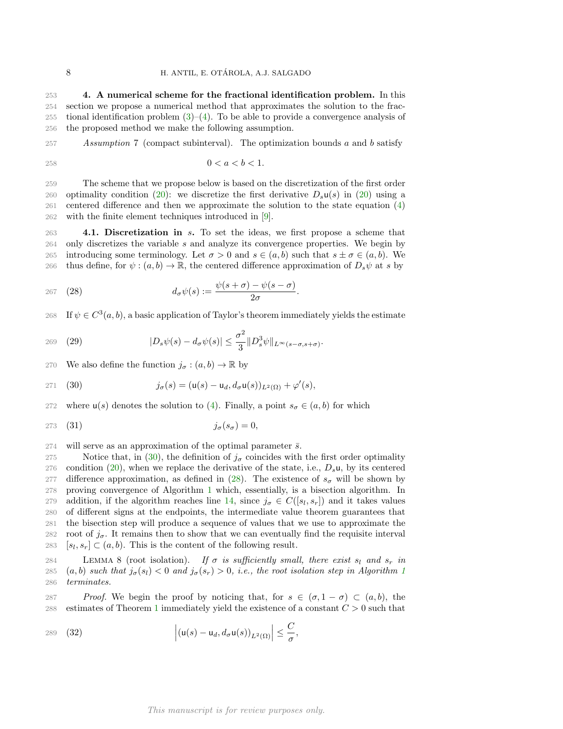<span id="page-7-0"></span> 4. A numerical scheme for the fractional identification problem. In this section we propose a numerical method that approximates the solution to the frac-255 tional identification problem  $(3)$ – $(4)$ . To be able to provide a convergence analysis of the proposed method we make the following assumption.

<span id="page-7-6"></span>257 Assumption 7 (compact subinterval). The optimization bounds a and b satisfy

$$
0 < a < b < 1.
$$

 The scheme that we propose below is based on the discretization of the first order 260 optimality condition [\(20\)](#page-5-0): we discretize the first derivative  $D_s\mathfrak{u}(s)$  in (20) using a centered difference and then we approximate the solution to the state equation [\(4\)](#page-1-2) with the finite element techniques introduced in [\[9\]](#page-18-5).

<span id="page-7-8"></span>263 4.1. Discretization in s. To set the ideas, we first propose a scheme that 264 only discretizes the variable s and analyze its convergence properties. We begin by 265 introducing some terminology. Let  $\sigma > 0$  and  $s \in (a, b)$  such that  $s \pm \sigma \in (a, b)$ . We 266 thus define, for  $\psi$ :  $(a, b) \to \mathbb{R}$ , the centered difference approximation of  $D_s\psi$  at s by

<span id="page-7-2"></span>
$$
267 \quad (28) \qquad d_{\sigma} \psi(s) := \frac{\psi(s+\sigma) - \psi(s-\sigma)}{2\sigma}.
$$

268 If  $\psi \in C^3(a, b)$ , a basic application of Taylor's theorem immediately yields the estimate

<span id="page-7-5"></span>269 (29) 
$$
|D_s \psi(s) - d_\sigma \psi(s)| \leq \frac{\sigma^2}{3} ||D_s^3 \psi||_{L^\infty(s-\sigma, s+\sigma)}.
$$

270 We also define the function  $j_{\sigma} : (a, b) \to \mathbb{R}$  by

<span id="page-7-1"></span>
$$
271 \quad (30) \qquad \qquad j_{\sigma}(s) = (\mathsf{u}(s) - \mathsf{u}_d, d_{\sigma} \mathsf{u}(s))_{L^2(\Omega)} + \varphi'(s),
$$

272 where  $u(s)$  denotes the solution to [\(4\)](#page-1-2). Finally, a point  $s_{\sigma} \in (a, b)$  for which

<span id="page-7-7"></span>
$$
j_{\sigma}(s_{\sigma}) = 0,
$$

 $274$  will serve as an approximation of the optimal parameter  $\bar{s}$ .

275 Notice that, in [\(30\)](#page-7-1), the definition of  $j_{\sigma}$  coincides with the first order optimality 276 condition [\(20\)](#page-5-0), when we replace the derivative of the state, i.e.,  $D_s\mathbf{u}$ , by its centered 277 difference approximation, as defined in [\(28\)](#page-7-2). The existence of  $s_{\sigma}$  will be shown by 278 proving convergence of Algorithm [1](#page-8-0) which, essentially, is a bisection algorithm. In 279 addition, if the algorithm reaches line [14,](#page-8-0) since  $j_{\sigma} \in C([s_l, s_r])$  and it takes values 280 of different signs at the endpoints, the intermediate value theorem guarantees that 281 the bisection step will produce a sequence of values that we use to approximate the 282 root of  $j_{\sigma}$ . It remains then to show that we can eventually find the requisite interval 283  $[s_l, s_r] \subset (a, b)$ . This is the content of the following result.

<span id="page-7-4"></span>284 LEMMA 8 (root isolation). If  $\sigma$  is sufficiently small, there exist  $s_l$  and  $s_r$  in 285 (a, b) such that  $j_{\sigma}(s_i) < 0$  and  $j_{\sigma}(s_r) > 0$ , i.e., the root isolation step in Algorithm [1](#page-8-0) 286 terminates.

287 Proof. We begin the proof by noticing that, for  $s \in (\sigma, 1 - \sigma) \subset (a, b)$ , the 288 estimates of Theorem [1](#page-3-5) immediately yield the existence of a constant  $C > 0$  such that

<span id="page-7-3"></span>
$$
289 \quad (32) \qquad \qquad \left| (u(s) - u_d, d_\sigma u(s))_{L^2(\Omega)} \right| \leq \frac{C}{\sigma},
$$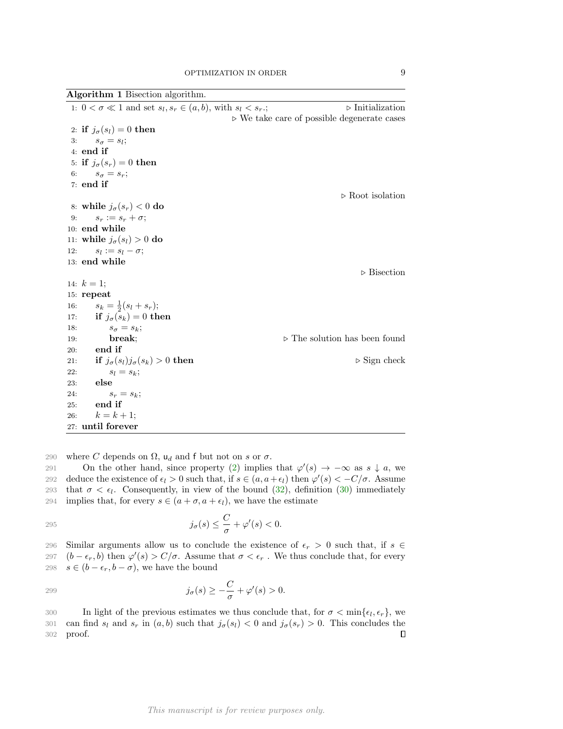Algorithm 1 Bisection algorithm.

<span id="page-8-0"></span>

|     | 1: $0 < \sigma \ll 1$ and set $s_l, s_r \in (a, b)$ , with $s_l < s_r$ . | $\triangleright$ Initialization                            |
|-----|--------------------------------------------------------------------------|------------------------------------------------------------|
|     |                                                                          | $\triangleright$ We take care of possible degenerate cases |
|     | 2: if $j_{\sigma}(s_l) = 0$ then                                         |                                                            |
|     | 3: $s_{\sigma} = s_l;$                                                   |                                                            |
|     | $4:$ end if                                                              |                                                            |
|     | 5: if $j_{\sigma}(s_r) = 0$ then                                         |                                                            |
|     | 6: $s_{\sigma} = s_r;$                                                   |                                                            |
|     | $7:$ end if                                                              |                                                            |
|     |                                                                          | $\triangleright$ Root isolation                            |
|     | 8: while $j_{\sigma}(s_r) < 0$ do                                        |                                                            |
| 9:  | $s_r := s_r + \sigma;$                                                   |                                                            |
|     | 10: end while                                                            |                                                            |
|     | 11: while $j_{\sigma}(s_l) > 0$ do                                       |                                                            |
| 12: | $s_l := s_l - \sigma;$                                                   |                                                            |
|     | 13: end while                                                            |                                                            |
|     |                                                                          | $\triangleright$ Bisection                                 |
|     | 14: $k = 1$ ;                                                            |                                                            |
|     | $15:$ repeat                                                             |                                                            |
| 16: | $s_k = \frac{1}{2}(s_l + s_r);$                                          |                                                            |
| 17: | if $j_{\sigma}(s_k) = 0$ then                                            |                                                            |
| 18. | $s_{\sigma} = s_k;$                                                      |                                                            |
| 19: | break;                                                                   | $\triangleright$ The solution has been found               |
| 20: | end if                                                                   |                                                            |
| 21: | if $j_{\sigma}(s_l)j_{\sigma}(s_k) > 0$ then                             | $\triangleright$ Sign check                                |
| 22: | $s_l = s_k;$                                                             |                                                            |
| 23: | else                                                                     |                                                            |
| 24: | $s_r = s_k;$                                                             |                                                            |
| 25: | end if                                                                   |                                                            |
| 26: | $k = k + 1;$                                                             |                                                            |
|     | 27: until forever                                                        |                                                            |

290 where C depends on  $\Omega$ ,  $\mathsf{u}_d$  and f but not on s or  $\sigma$ .

291 On the other hand, since property [\(2\)](#page-1-3) implies that  $\varphi'(s) \to -\infty$  as  $s \downarrow a$ , we 292 deduce the existence of  $\epsilon_l > 0$  such that, if  $s \in (a, a + \epsilon_l)$  then  $\varphi'(s) < -C/\sigma$ . Assume 293 that  $\sigma < \epsilon_l$ . Consequently, in view of the bound [\(32\)](#page-7-3), definition [\(30\)](#page-7-1) immediately 294 implies that, for every  $s \in (a + \sigma, a + \epsilon_l)$ , we have the estimate

$$
j_{\sigma}(s) \leq \frac{C}{\sigma} + \varphi'(s) < 0.
$$

296 Similar arguments allow us to conclude the existence of  $\epsilon_r > 0$  such that, if  $s \in$ 297  $(b - \epsilon_r, b)$  then  $\varphi'(s) > C/\sigma$ . Assume that  $\sigma < \epsilon_r$ . We thus conclude that, for every 298  $s \in (b - \epsilon_r, b - \sigma)$ , we have the bound

299 
$$
j_{\sigma}(s) \geq -\frac{C}{\sigma} + \varphi'(s) > 0.
$$

300 In light of the previous estimates we thus conclude that, for  $\sigma < \min\{\epsilon_l, \epsilon_r\}$ , we 301 can find  $s_l$  and  $s_r$  in  $(a, b)$  such that  $j_\sigma(s_l) < 0$  and  $j_\sigma(s_r) > 0$ . This concludes the 302 proof.  $\Box$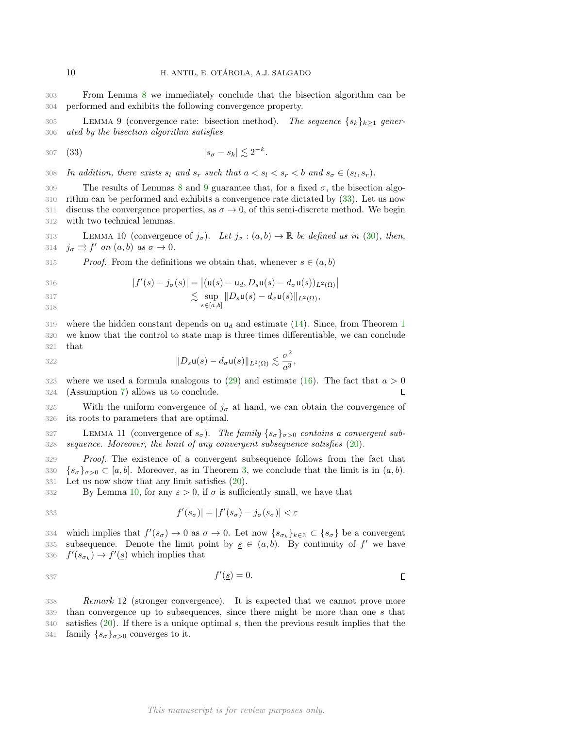303 From Lemma [8](#page-7-4) we immediately conclude that the bisection algorithm can be 304 performed and exhibits the following convergence property.

<span id="page-9-0"></span>305 LEMMA 9 (convergence rate: bisection method). The sequence  $\{s_k\}_{k\geq 1}$  gener-306 ated by the bisection algorithm satisfies

<span id="page-9-1"></span>
$$
|s_{\sigma} - s_k| \lesssim 2^{-k}.
$$

308 In addition, there exists  $s_l$  and  $s_r$  such that  $a < s_l < s_r < b$  and  $s_{\sigma} \in (s_l, s_r)$ .

309 The results of Lemmas [8](#page-7-4) and [9](#page-9-0) guarantee that, for a fixed  $\sigma$ , the bisection algo-310 rithm can be performed and exhibits a convergence rate dictated by [\(33\)](#page-9-1). Let us now 311 discuss the convergence properties, as  $\sigma \to 0$ , of this semi-discrete method. We begin 312 with two technical lemmas.

<span id="page-9-2"></span>313 LEMMA 10 (convergence of  $j_{\sigma}$ ). Let  $j_{\sigma} : (a, b) \to \mathbb{R}$  be defined as in [\(30\)](#page-7-1), then, 314  $j_{\sigma} \rightrightarrows f'$  on  $(a, b)$  as  $\sigma \to 0$ .

315 Proof. From the definitions we obtain that, whenever  $s \in (a, b)$ 

$$
|f'(s) - j_{\sigma}(s)| = |(\mathsf{u}(s) - \mathsf{u}_d, D_s \mathsf{u}(s) - d_{\sigma} \mathsf{u}(s))_{L^2(\Omega)}|
$$

$$
\lesssim \sup_{s \in [a,b]} \|D_s \mathsf{u}(s) - d_\sigma \mathsf{u}(s)\|_{L^2(\Omega)},
$$

318

3[1](#page-3-5)9 where the hidden constant depends on  $u_d$  and estimate [\(14\)](#page-3-0). Since, from Theorem 1 320 we know that the control to state map is three times differentiable, we can conclude 321 that

$$
||D_s\mathsf{u}(s) - d_\sigma\mathsf{u}(s)||_{L^2(\Omega)} \lesssim \frac{\sigma^2}{a^3},
$$

323 where we used a formula analogous to [\(29\)](#page-7-5) and estimate [\(16\)](#page-3-4). The fact that  $a > 0$ 324 (Assumption [7\)](#page-7-6) allows us to conclude.  $\Box$ 

325 With the uniform convergence of  $j_{\sigma}$  at hand, we can obtain the convergence of 326 its roots to parameters that are optimal.

<span id="page-9-3"></span>327 LEMMA 11 (convergence of  $s_{\sigma}$ ). The family  $\{s_{\sigma}\}_{{\sigma}>0}$  contains a convergent sub-328 sequence. Moreover, the limit of any convergent subsequence satisfies [\(20\)](#page-5-0).

329 Proof. The existence of a convergent subsequence follows from the fact that 330  $\{s_{\sigma}\}_{\sigma>0} \subset [a, b]$ . Moreover, as in Theorem [3,](#page-4-2) we conclude that the limit is in  $(a, b)$ . 331 Let us now show that any limit satisfies [\(20\)](#page-5-0).

332 By Lemma [10,](#page-9-2) for any  $\varepsilon > 0$ , if  $\sigma$  is sufficiently small, we have that

$$
|f'(s_{\sigma})| = |f'(s_{\sigma}) - j_{\sigma}(s_{\sigma})| < \varepsilon
$$

334 which implies that  $f'(s_{\sigma}) \to 0$  as  $\sigma \to 0$ . Let now  $\{s_{\sigma_k}\}_{k \in \mathbb{N}} \subset \{s_{\sigma}\}\$  be a convergent 335 subsequence. Denote the limit point by  $s \in (a, b)$ . By continuity of f' we have 336  $f'(s_{\sigma_k}) \to f'(\underline{s})$  which implies that

$$
f'(\underline{s}) = 0.
$$

 $\Box$ 

<span id="page-9-4"></span> Remark 12 (stronger convergence). It is expected that we cannot prove more than convergence up to subsequences, since there might be more than one s that satisfies [\(20\)](#page-5-0). If there is a unique optimal s, then the previous result implies that the 341 family  $\{s_{\sigma}\}_{\sigma>0}$  converges to it.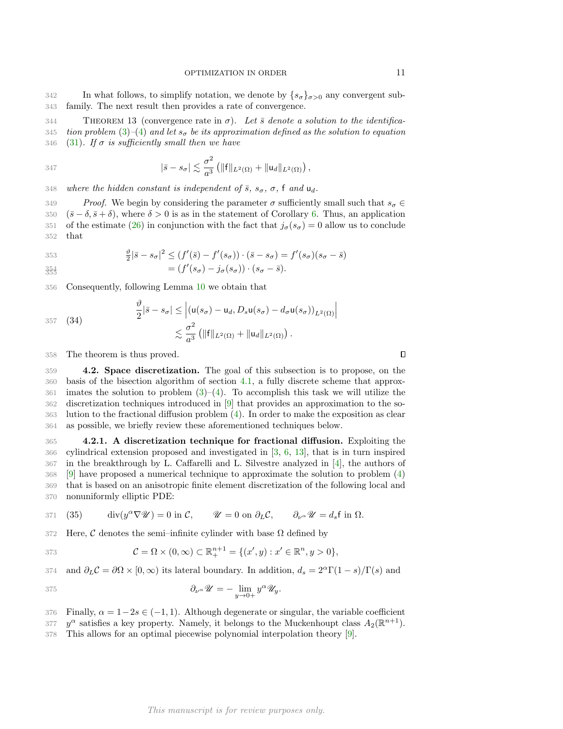342 In what follows, to simplify notation, we denote by  $\{s_{\sigma}\}_{{\sigma}>0}$  any convergent sub-343 family. The next result then provides a rate of convergence.

<span id="page-10-2"></span>344 THEOREM 13 (convergence rate in  $\sigma$ ). Let  $\bar{s}$  denote a solution to the identifica-345 tion problem [\(3\)](#page-1-1)–[\(4\)](#page-1-2) and let  $s_{\sigma}$  be its approximation defined as the solution to equation 346 [\(31\)](#page-7-7). If  $\sigma$  is sufficiently small then we have

$$
| \bar{s} - s_{\sigma} | \lesssim \frac{\sigma^2}{a^3} \left( \| f \|_{L^2(\Omega)} + \| u_d \|_{L^2(\Omega)} \right),
$$

348 where the hidden constant is independent of  $\bar{s}$ ,  $s_{\sigma}$ ,  $\sigma$ ,  $\bar{f}$  and  $u_{d}$ .

349 Proof. We begin by considering the parameter  $\sigma$  sufficiently small such that  $s_{\sigma} \in$ 350  $(\bar{s} - \delta, \bar{s} + \delta)$ , where  $\delta > 0$  is as in the statement of Corollary [6.](#page-6-4) Thus, an application 351 of the estimate [\(26\)](#page-6-2) in conjunction with the fact that  $j_{\sigma}(s_{\sigma}) = 0$  allow us to conclude 352 that

$$
\frac{\vartheta}{2}|\bar{s} - s_{\sigma}|^2 \le (f'(\bar{s}) - f'(s_{\sigma})) \cdot (\bar{s} - s_{\sigma}) = f'(s_{\sigma})(s_{\sigma} - \bar{s})
$$
  

$$
\frac{\vartheta}{35\beta} = (f'(s_{\sigma}) - j_{\sigma}(s_{\sigma})) \cdot (s_{\sigma} - \bar{s}).
$$

$$
\begin{aligned}\n\frac{354}{355} &= \left(f'(s_\sigma) - j_\sigma(s_\sigma)\right) \cdot \left(s_\sigma - \bar{s}\right).\n\end{aligned}
$$

356 Consequently, following Lemma [10](#page-9-2) we obtain that

$$
\frac{\vartheta}{2}|\bar{s} - s_{\sigma}| \leq \left| (\mathsf{u}(s_{\sigma}) - \mathsf{u}_{d}, D_{s}\mathsf{u}(s_{\sigma}) - d_{\sigma}\mathsf{u}(s_{\sigma}))_{L^{2}(\Omega)} \right|
$$

$$
\lesssim \frac{\sigma^{2}}{a^{3}} \left( \| \mathsf{f} \|_{L^{2}(\Omega)} + \| \mathsf{u}_{d} \|_{L^{2}(\Omega)} \right).
$$

358 The theorem is thus proved.

 4.2. Space discretization. The goal of this subsection is to propose, on the basis of the bisection algorithm of section [4.1,](#page-7-8) a fully discrete scheme that approx- imates the solution to problem  $(3)-(4)$  $(3)-(4)$ . To accomplish this task we will utilize the discretization techniques introduced in [\[9\]](#page-18-5) that provides an approximation to the so- lution to the fractional diffusion problem [\(4\)](#page-1-2). In order to make the exposition as clear as possible, we briefly review these aforementioned techniques below.

<span id="page-10-1"></span> 4.2.1. A discretization technique for fractional diffusion. Exploiting the cylindrical extension proposed and investigated in [\[3,](#page-18-7) [6,](#page-18-4) [13\]](#page-19-1), that is in turn inspired in the breakthrough by L. Caffarelli and L. Silvestre analyzed in [\[4\]](#page-18-8), the authors of [\[9\]](#page-18-5) have proposed a numerical technique to approximate the solution to problem [\(4\)](#page-1-2) that is based on an anisotropic finite element discretization of the following local and nonuniformly elliptic PDE:

<span id="page-10-0"></span>371 (35) 
$$
\operatorname{div}(y^{\alpha}\nabla\mathscr{U}) = 0 \text{ in } \mathcal{C}, \qquad \mathscr{U} = 0 \text{ on } \partial_L \mathcal{C}, \qquad \partial_{\nu^{\alpha}}\mathscr{U} = d_s \mathbf{f} \text{ in } \Omega.
$$

372 Here, C denotes the semi–infinite cylinder with base  $\Omega$  defined by

373 
$$
\mathcal{C} = \Omega \times (0, \infty) \subset \mathbb{R}^{n+1}_+ = \{(x', y) : x' \in \mathbb{R}^n, y > 0\},\
$$

374 and  $\partial_L C = \partial \Omega \times [0, \infty)$  its lateral boundary. In addition,  $d_s = 2^{\alpha} \Gamma(1-s)/\Gamma(s)$  and

$$
\partial_{\nu^{\alpha}} \mathscr{U} = -\lim_{y \to 0+} y^{\alpha} \mathscr{U}_y.
$$

376 Finally,  $\alpha = 1-2s \in (-1,1)$ . Although degenerate or singular, the variable coefficient

377  $y^{\alpha}$  satisfies a key property. Namely, it belongs to the Muckenhoupt class  $A_2(\mathbb{R}^{n+1})$ . 378 This allows for an optimal piecewise polynomial interpolation theory [\[9\]](#page-18-5).

 $\Box$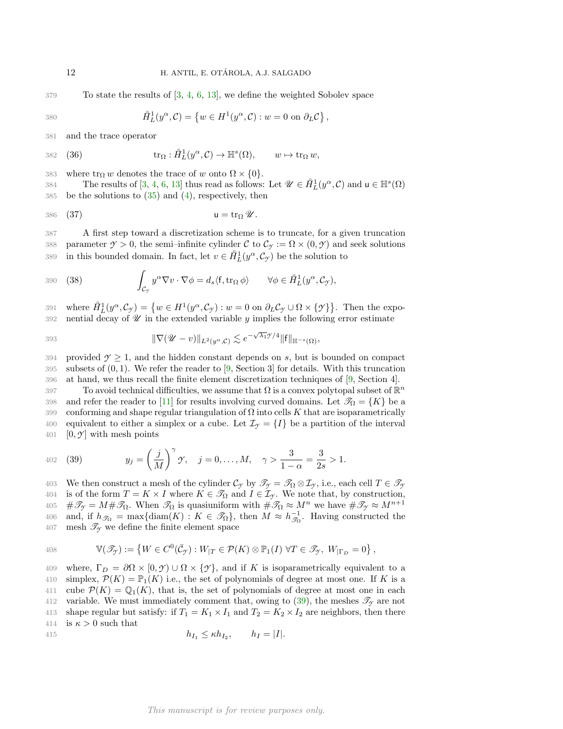379 To state the results of [\[3,](#page-18-7) [4,](#page-18-8) [6,](#page-18-4) [13\]](#page-19-1), we define the weighted Sobolev space

$$
\hat{H}_L^1(y^\alpha, \mathcal{C}) = \left\{ w \in H^1(y^\alpha, \mathcal{C}) : w = 0 \text{ on } \partial_L \mathcal{C} \right\},
$$

381 and the trace operator

$$
382 \quad (36) \qquad \text{tr}_{\Omega}: \mathring{H}_L^1(y^{\alpha}, \mathcal{C}) \to \mathbb{H}^s(\Omega), \qquad w \mapsto \text{tr}_{\Omega} w,
$$

383 where  $\text{tr}_{\Omega} w$  denotes the trace of w onto  $\Omega \times \{0\}$ .

384 The results of [\[3,](#page-18-7) [4,](#page-18-8) [6,](#page-18-4) [13\]](#page-19-1) thus read as follows: Let  $\mathscr{U} \in \mathring{H}_L^1(y^\alpha, \mathcal{C})$  and  $\mathsf{u} \in \mathbb{H}^s(\Omega)$ 385 be the solutions to  $(35)$  and  $(4)$ , respectively, then

<span id="page-11-2"></span>
$$
386 \quad (37) \qquad \qquad u = \operatorname{tr}_\Omega \mathscr{U}.
$$

387 A first step toward a discretization scheme is to truncate, for a given truncation 388 parameter  $\gamma > 0$ , the semi-infinite cylinder C to  $\mathcal{C}_{\gamma} := \Omega \times (0, \gamma)$  and seek solutions 389 in this bounded domain. In fact, let  $v \in \mathring{H}_L^1(y^\alpha, \mathcal{C}_\gamma)$  be the solution to

<span id="page-11-1"></span>390 (38) 
$$
\int_{\mathcal{C}_{\mathcal{Y}}} y^{\alpha} \nabla v \cdot \nabla \phi = d_s \langle f, \text{tr}_{\Omega} \phi \rangle \qquad \forall \phi \in \mathring{H}_L^1(y^{\alpha}, \mathcal{C}_{\mathcal{Y}}),
$$

391 where  $\mathring{H}_L^1(y^\alpha, \mathcal{C}_{\gamma}) = \{ w \in H^1(y^\alpha, \mathcal{C}_{\gamma}) : w = 0 \text{ on } \partial_L \mathcal{C}_{\gamma} \cup \Omega \times \{ \gamma \} \}.$  Then the expo-392 nential decay of  $\mathscr U$  in the extended variable  $y$  implies the following error estimate

393 
$$
\|\nabla(\mathscr{U}-v)\|_{L^2(y^{\alpha},\mathcal{C})} \lesssim e^{-\sqrt{\lambda_1}\mathscr{Y}/4} \|\mathsf{f}\|_{\mathbb{H}^{-s}(\Omega)},
$$

394 provided  $\mathcal{Y} \geq 1$ , and the hidden constant depends on s, but is bounded on compact 395 subsets of  $(0, 1)$ . We refer the reader to [\[9,](#page-18-5) Section 3] for details. With this truncation 396 at hand, we thus recall the finite element discretization techniques of [\[9,](#page-18-5) Section 4].

397 To avoid technical difficulties, we assume that  $\Omega$  is a convex polytopal subset of  $\mathbb{R}^n$ 398 and refer the reader to [\[11\]](#page-18-9) for results involving curved domains. Let  $\mathcal{T}_{\Omega} = \{K\}$  be a 399 conforming and shape regular triangulation of  $\Omega$  into cells K that are isoparametrically 400 equivalent to either a simplex or a cube. Let  $\mathcal{I}_{\gamma} = \{I\}$  be a partition of the interval 401  $[0, \mathcal{Y}]$  with mesh points

<span id="page-11-0"></span>402 (39) 
$$
y_j = \left(\frac{j}{M}\right)^{\gamma} \gamma, \quad j = 0, ..., M, \quad \gamma > \frac{3}{1 - \alpha} = \frac{3}{2s} > 1.
$$

403 We then construct a mesh of the cylinder  $\mathcal{C}_{\gamma}$  by  $\mathcal{I}_{\gamma} = \mathcal{I}_{\Omega} \otimes \mathcal{I}_{\gamma}$ , i.e., each cell  $T \in \mathcal{I}_{\gamma}$ 404 is of the form  $T = K \times I$  where  $K \in \mathcal{T}_{\Omega}$  and  $I \in \mathcal{I}_{\gamma}$ . We note that, by construction,  $405 \quad #\mathscr{T}_{\mathcal{F}} = M\#\mathscr{T}_{\Omega}$ . When  $\mathscr{T}_{\Omega}$  is quasiuniform with  $\#\mathscr{T}_{\Omega} \approx M^n$  we have  $\#\mathscr{T}_{\mathcal{F}} \approx M^{n+1}$ 406 and, if  $h_{\mathscr{T}_{\Omega}} = \max\{\text{diam}(K) : K \in \mathscr{T}_{\Omega}\}\$ , then  $M \approx h_{\mathscr{T}_{\Omega}}^{-1}$ . Having constructed the 407 mesh  $\mathscr{T}_{\gamma}$  we define the finite element space

408 
$$
\mathbb{V}(\mathscr{T}_{\mathcal{T}}) := \left\{ W \in C^{0}(\bar{\mathcal{C}}_{\mathcal{T}}) : W_{|T} \in \mathcal{P}(K) \otimes \mathbb{P}_{1}(I) \; \forall T \in \mathscr{T}_{\mathcal{T}}, \; W_{|\Gamma_{D}} = 0 \right\},
$$

409 where,  $\Gamma_D = \partial \Omega \times [0, \mathcal{I}) \cup \Omega \times {\mathcal{I}}$ , and if K is isoparametrically equivalent to a 410 simplex,  $\mathcal{P}(K) = \mathbb{P}_1(K)$  i.e., the set of polynomials of degree at most one. If K is a 411 cube  $\mathcal{P}(K) = \mathbb{Q}_1(K)$ , that is, the set of polynomials of degree at most one in each 412 variable. We must immediately comment that, owing to  $(39)$ , the meshes  $\mathscr{T}_{\gamma}$  are not 413 shape regular but satisfy: if  $T_1 = K_1 \times I_1$  and  $T_2 = K_2 \times I_2$  are neighbors, then there 414 is  $\kappa > 0$  such that

$$
h_{I_1} \leq \kappa h_{I_2}, \qquad h_I = |I|.
$$

<span id="page-11-3"></span>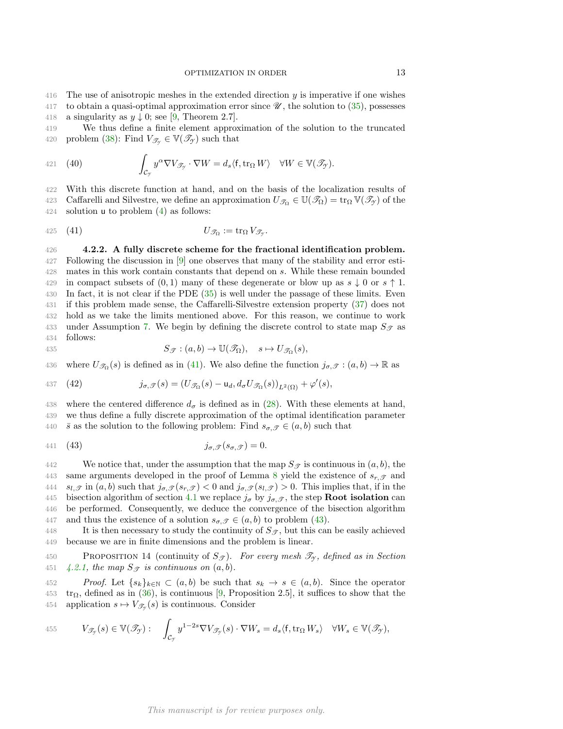416 The use of anisotropic meshes in the extended direction  $y$  is imperative if one wishes

- 417 to obtain a quasi-optimal approximation error since  $\mathscr{U}$ , the solution to [\(35\)](#page-10-0), possesses
- 418 a singularity as  $y \downarrow 0$ ; see [\[9,](#page-18-5) Theorem 2.7].

419 We thus define a finite element approximation of the solution to the truncated 420 problem [\(38\)](#page-11-1): Find  $V_{\mathscr{T}_{\gamma}} \in V(\mathscr{T}_{\gamma})$  such that

<span id="page-12-4"></span>421 (40) 
$$
\int_{\mathcal{C}_{\gamma}} y^{\alpha} \nabla V_{\mathcal{T}_{\gamma}} \cdot \nabla W = d_s \langle f, \text{tr}_{\Omega} W \rangle \quad \forall W \in \mathbb{V}(\mathcal{I}_{\gamma}).
$$

422 With this discrete function at hand, and on the basis of the localization results of 423 Caffarelli and Silvestre, we define an approximation  $U_{\mathscr{T}_\Omega} \in \mathbb{U}(\mathscr{T}_\Omega) = \text{tr}_\Omega \mathbb{V}(\mathscr{T}_\gamma)$  of the 424 solution u to problem [\(4\)](#page-1-2) as follows:

<span id="page-12-0"></span>
$$
U_{\mathcal{T}_{\Omega}} := \operatorname{tr}_{\Omega} V_{\mathcal{T}_{\mathcal{T}}}.
$$

<span id="page-12-3"></span> 4.2.2. A fully discrete scheme for the fractional identification problem. Following the discussion in [\[9\]](#page-18-5) one observes that many of the stability and error esti- mates in this work contain constants that depend on s. While these remain bounded 429 in compact subsets of  $(0, 1)$  many of these degenerate or blow up as  $s \downarrow 0$  or  $s \uparrow 1$ . In fact, it is not clear if the PDE [\(35\)](#page-10-0) is well under the passage of these limits. Even if this problem made sense, the Caffarelli-Silvestre extension property [\(37\)](#page-11-2) does not hold as we take the limits mentioned above. For this reason, we continue to work 433 under Assumption [7.](#page-7-6) We begin by defining the discrete control to state map  $S_{\mathscr{T}}$  as 434 follows:

435 
$$
S_{\mathscr{T}}: (a,b) \to \mathbb{U}(\mathscr{T}_{\Omega}), \quad s \mapsto U_{\mathscr{T}_{\Omega}}(s),
$$

436 where  $U_{\mathscr{T}_{\Omega}}(s)$  is defined as in [\(41\)](#page-12-0). We also define the function  $j_{\sigma,\mathscr{T}} : (a, b) \to \mathbb{R}$  as

<span id="page-12-2"></span>437 (42) 
$$
j_{\sigma,\mathcal{T}}(s) = (U_{\mathcal{T}_{\Omega}}(s) - \mathsf{u}_d, d_{\sigma}U_{\mathcal{T}_{\Omega}}(s))_{L^2(\Omega)} + \varphi'(s),
$$

438 where the centered difference  $d_{\sigma}$  is defined as in [\(28\)](#page-7-2). With these elements at hand, 439 we thus define a fully discrete approximation of the optimal identification parameter 440  $\bar{s}$  as the solution to the following problem: Find  $s_{\sigma,\mathcal{T}} \in (a,b)$  such that

<span id="page-12-1"></span>
$$
j_{\sigma,\mathcal{T}}(s_{\sigma,\mathcal{T}})=0.
$$

442 We notice that, under the assumption that the map  $S_{\mathscr{T}}$  is continuous in  $(a, b)$ , the 443 same arguments developed in the proof of Lemma [8](#page-7-4) yield the existence of  $s_{r,\mathscr{T}}$  and 444  $s_{l,\mathcal{T}}$  in  $(a, b)$  such that  $j_{\sigma,\mathcal{T}}(s_{r,\mathcal{T}}) < 0$  and  $j_{\sigma,\mathcal{T}}(s_{l,\mathcal{T}}) > 0$ . This implies that, if in the 445 bisection algorithm of section [4.1](#page-7-8) we replace  $j_{\sigma}$  by  $j_{\sigma,\mathscr{T}}$ , the step **Root isolation** can 446 be performed. Consequently, we deduce the convergence of the bisection algorithm 447 and thus the existence of a solution  $s_{\sigma,\mathcal{T}} \in (a,b)$  to problem [\(43\)](#page-12-1).

448 It is then necessary to study the continuity of  $S_{\mathscr{T}}$ , but this can be easily achieved 449 because we are in finite dimensions and the problem is linear.

450 PROPOSITION 14 (continuity of  $S_{\mathcal{F}}$ ). For every mesh  $\mathcal{I}_{\gamma}$ , defined as in Section 451 [4.2.1,](#page-10-1) the map  $S_{\mathcal{F}}$  is continuous on  $(a, b)$ .

452 Proof. Let  $\{s_k\}_{k\in\mathbb{N}}\subset (a,b)$  be such that  $s_k\to s\in (a,b)$ . Since the operator  $453 \text{ tr}_{\Omega}$ , defined as in [\(36\)](#page-11-3), is continuous [\[9,](#page-18-5) Proposition 2.5], it suffices to show that the 454 application  $s \mapsto V_{\mathscr{T}_{\mathscr{T}}}(s)$  is continuous. Consider

455 
$$
V_{\mathscr{T}_{\mathcal{J}}} (s) \in \mathbb{V}(\mathscr{T}_{\mathcal{J}}): \quad \int_{\mathcal{C}_{\mathcal{J}}} y^{1-2s} \nabla V_{\mathscr{T}_{\mathcal{J}}} (s) \cdot \nabla W_s = d_s \langle f, \text{tr}_{\Omega} W_s \rangle \quad \forall W_s \in \mathbb{V}(\mathscr{T}_{\mathcal{J}}),
$$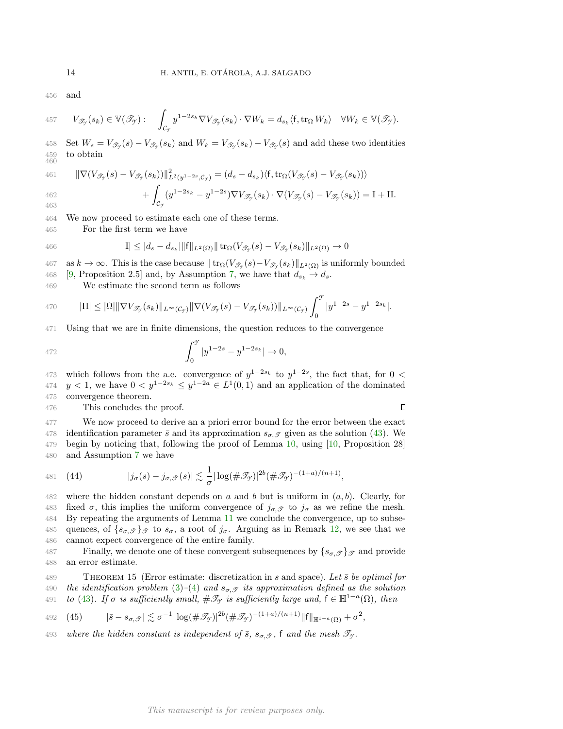456 and

457 
$$
V_{\mathscr{T}_{\mathcal{J}}} (s_k) \in \mathbb{V}(\mathscr{T}_{\mathcal{J}}): \int_{\mathcal{C}_{\mathcal{J}}} y^{1-2s_k} \nabla V_{\mathscr{T}_{\mathcal{J}}} (s_k) \cdot \nabla W_k = d_{s_k} \langle f, \operatorname{tr}_{\Omega} W_k \rangle \quad \forall W_k \in \mathbb{V}(\mathscr{T}_{\mathcal{J}}).
$$

458 Set  $W_s = V_{\mathscr{T}_{\mathscr{T}}}(s) - V_{\mathscr{T}_{\mathscr{T}}}(s_k)$  and  $W_k = V_{\mathscr{T}_{\mathscr{T}}}(s_k) - V_{\mathscr{T}_{\mathscr{T}}}(s)$  and add these two identities 459 to obtain 460

461 
$$
\|\nabla(V_{\mathscr{T}_{\mathscr{T}}}(s) - V_{\mathscr{T}_{\mathscr{T}}}(s_k))\|_{L^2(y^{1-2s}, \mathcal{C}_{\mathscr{T}})}^2 = (d_s - d_{s_k})\langle f, \text{tr}_{\Omega}(V_{\mathscr{T}_{\mathscr{T}}}(s) - V_{\mathscr{T}_{\mathscr{T}}}(s_k))\rangle + \int_{\Omega} (y^{1-2s_k} - y^{1-2s}) \nabla V_{\mathscr{T}_{\mathscr{T}}}(s_k) \cdot \nabla(V_{\mathscr{T}_{\mathscr{T}}}(s) - V_{\mathscr{T}_{\mathscr{T}}}(s_k)) = I + II.
$$

463

C*Y* 464 We now proceed to estimate each one of these terms.

465 For the first term we have

466 
$$
|\mathbf{I}| \leq |d_s - d_{s_k}||\mathbf{f}||_{L^2(\Omega)}||\operatorname{tr}_{\Omega}(V_{\mathscr{T}_{\mathcal{T}}}(s) - V_{\mathscr{T}_{\mathcal{T}}}(s_k)||_{L^2(\Omega)} \to 0
$$

 $467$  as  $k \to \infty$ . This is the case because  $|| \text{tr}_Ω(V_{\mathscr{T}_{\gamma}}(s) - V_{\mathscr{T}_{\gamma}}(s_k)||_{L^2(Ω)}$  is uniformly bounded 468 [\[9,](#page-18-5) Proposition 2.5] and, by Assumption [7,](#page-7-6) we have that  $d_{s_k} \to d_s$ .

469 We estimate the second term as follows

$$
470 \qquad \text{III} \leq |\Omega| \|\nabla V_{\mathscr{T}_{\mathcal{T}}}(s_k)\|_{L^{\infty}(\mathcal{C}_{\mathcal{T}})} \|\nabla (V_{\mathscr{T}_{\mathcal{T}}}(s) - V_{\mathscr{T}_{\mathcal{T}}}(s_k))\|_{L^{\infty}(\mathcal{C}_{\mathcal{T}})} \int_0^{\mathcal{T}} |y^{1-2s} - y^{1-2s_k}|.
$$

471 Using that we are in finite dimensions, the question reduces to the convergence

472 
$$
\int_0^{\mathcal{I}} |y^{1-2s} - y^{1-2s_k}| \to 0,
$$

473 which follows from the a.e. convergence of  $y^{1-2s_k}$  to  $y^{1-2s}$ , the fact that, for 0 < 474  $y < 1$ , we have  $0 < y^{1-2s_k} \leq y^{1-2a} \in L^1(0,1)$  and an application of the dominated 475 convergence theorem.

476 This concludes the proof.

 $\Box$ 

 We now proceed to derive an a priori error bound for the error between the exact 478 identification parameter  $\bar{s}$  and its approximation  $s_{\sigma,\mathscr{T}}$  given as the solution [\(43\)](#page-12-1). We begin by noticing that, following the proof of Lemma [10,](#page-9-2) using [\[10,](#page-18-10) Proposition 28] and Assumption [7](#page-7-6) we have

481 (44) 
$$
|j_{\sigma}(s) - j_{\sigma,\mathcal{T}}(s)| \lesssim \frac{1}{\sigma} |\log(\#\mathcal{T}_{\mathcal{T}})|^{2b} (\#\mathcal{T}_{\mathcal{T}})^{-(1+a)/(n+1)},
$$

482 where the hidden constant depends on a and b but is uniform in  $(a, b)$ . Clearly, for 483 fixed  $\sigma$ , this implies the uniform convergence of  $j_{\sigma,\mathcal{T}}$  to  $j_{\sigma}$  as we refine the mesh. 484 By repeating the arguments of Lemma [11](#page-9-3) we conclude the convergence, up to subse-485 quences, of  $\{s_{\sigma},\mathcal{F}\}\mathcal{F}$  to  $s_{\sigma}$ , a root of  $j_{\sigma}$ . Arguing as in Remark [12,](#page-9-4) we see that we 486 cannot expect convergence of the entire family.

487 Finally, we denote one of these convergent subsequences by  $\{s_{\sigma,\mathcal{T}}\}_{\mathcal{T}}$  and provide 488 an error estimate.

489 THEOREM 15 (Error estimate: discretization in s and space). Let  $\bar{s}$  be optimal for 490 the identification problem [\(3\)](#page-1-1)–[\(4\)](#page-1-2) and  $s_{\sigma,\mathcal{T}}$  its approximation defined as the solution 491 to [\(43\)](#page-12-1). If  $\sigma$  is sufficiently small,  $\#\mathscr{T}_{\gamma}$  is sufficiently large and,  $f \in \mathbb{H}^{1-a}(\Omega)$ , then

<span id="page-13-0"></span>492 (45) 
$$
|\bar{s} - s_{\sigma, \mathcal{F}}| \lesssim \sigma^{-1} |\log(\#\mathcal{F}_{\mathcal{F}})|^{2b} (\#\mathcal{F}_{\mathcal{F}})^{-(1+a)/(n+1)} \|f\|_{\mathbb{H}^{1-a}(\Omega)} + \sigma^2,
$$

493 where the hidden constant is independent of  $\bar{s}$ ,  $s_{\sigma,\mathcal{T}}$ ,  $\bar{f}$  and the mesh  $\mathcal{T}_{\gamma}$ .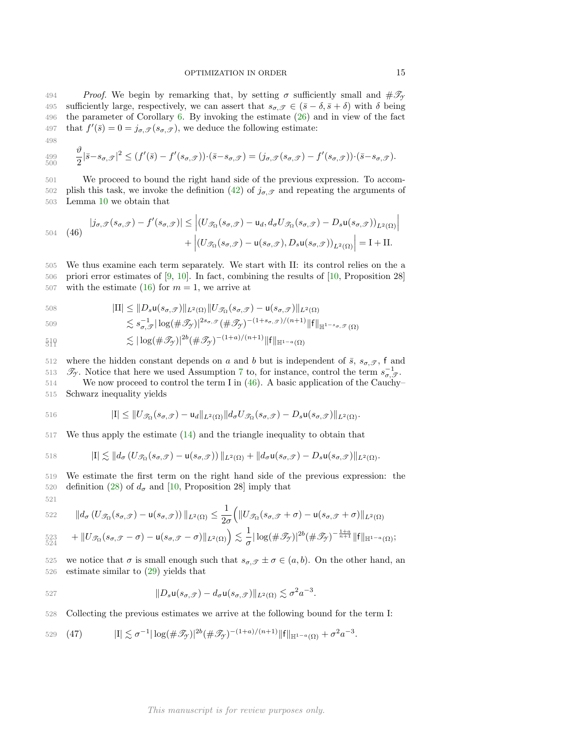494 Proof. We begin by remarking that, by setting  $\sigma$  sufficiently small and  $\#\mathcal{I}_{\gamma}$ 495 sufficiently large, respectively, we can assert that  $s_{\sigma,\mathscr{T}} \in (\bar{s} - \delta, \bar{s} + \delta)$  with  $\delta$  being 496 the parameter of Corollary [6.](#page-6-4) By invoking the estimate [\(26\)](#page-6-2) and in view of the fact 497 that  $f'(\bar{s}) = 0 = j_{\sigma, \mathcal{F}}(s_{\sigma, \mathcal{F}})$ , we deduce the following estimate:

498

 $\vartheta$ 

$$
\begin{array}{c} 499 \\ 500 \end{array}
$$

 $\frac{\partial^2}{\partial s^2} |\bar{s}-s_{\sigma,\mathscr{T}}|^2 \leq (f'(\bar{s})-f'(s_{\sigma,\mathscr{T}})) \cdot (\bar{s}-s_{\sigma,\mathscr{T}}) = (j_{\sigma,\mathscr{T}}(s_{\sigma,\mathscr{T}})-f'(s_{\sigma,\mathscr{T}})) \cdot (\bar{s}-s_{\sigma,\mathscr{T}}).$ 500 501 We proceed to bound the right hand side of the previous expression. To accom-502 plish this task, we invoke the definition [\(42\)](#page-12-2) of  $j_{\sigma,\mathscr{T}}$  and repeating the arguments of

503 Lemma [10](#page-9-2) we obtain that

<span id="page-14-0"></span>
$$
504 \quad (46) \quad |j_{\sigma,\mathcal{F}}(s_{\sigma,\mathcal{F}}) - f'(s_{\sigma,\mathcal{F}})| \leq \left| (U_{\mathcal{F}_{\Omega}}(s_{\sigma,\mathcal{F}}) - \mathbf{u}_d, d_{\sigma} U_{\mathcal{F}_{\Omega}}(s_{\sigma,\mathcal{F}}) - D_s \mathbf{u}(s_{\sigma,\mathcal{F}}))_{L^2(\Omega)} \right|
$$

$$
+ \left| (U_{\mathcal{F}_{\Omega}}(s_{\sigma,\mathcal{F}}) - \mathbf{u}(s_{\sigma,\mathcal{F}}), D_s \mathbf{u}(s_{\sigma,\mathcal{F}}))_{L^2(\Omega)} \right| = \mathbf{I} + \mathbf{II}.
$$

505 We thus examine each term separately. We start with II: its control relies on the a 506 priori error estimates of [\[9,](#page-18-5) [10\]](#page-18-10). In fact, combining the results of [\[10,](#page-18-10) Proposition 28] 507 with the estimate [\(16\)](#page-3-4) for  $m = 1$ , we arrive at

508 
$$
|\text{II}| \leq ||D_s \mathsf{u}(s_{\sigma, \mathcal{T}})||_{L^2(\Omega)} ||U_{\mathcal{T}_{\Omega}}(s_{\sigma, \mathcal{T}}) - \mathsf{u}(s_{\sigma, \mathcal{T}})||_{L^2(\Omega)}
$$

$$
||\mathbf{L}|| \geq ||D_s \mathbf{u}(\delta \sigma, \mathcal{Y})||L^2(\Omega)||\mathbf{U}\mathcal{Y}_{\Omega}(\delta \sigma, \mathcal{Y}) - \mathbf{u}(\delta \sigma, \mathcal{Y})||L^2(\Omega)
$$

$$
509 \lesssim s_{\sigma,\mathcal{F}}^{-1} |\log(\#\mathcal{I}_{\mathcal{Y}})|^{2s_{\sigma,\mathcal{F}}} (\#\mathcal{I}_{\mathcal{Y}})^{-(1+s_{\sigma,\mathcal{F}})/(n+1)} \|f\|_{\mathbb{H}^{1-s_{\sigma,\mathcal{F}}}(\Omega)}
$$

$$
\mathfrak{H} \mathfrak{h} \leq |\log(\#\mathcal{T}_{\mathcal{Y}})|^{2b} (\#\mathcal{T}_{\mathcal{Y}})^{-(1+a)/(n+1)} \|f\|_{\mathbb{H}^{1-a}(\Omega)}
$$

512 where the hidden constant depends on a and b but is independent of  $\bar{s}$ ,  $s_{\sigma,\mathscr{T}}$ , f and 513  $\mathscr{T}_{\mathcal{F}}$ . Notice that here we used Assumption [7](#page-7-6) to, for instance, control the term  $s_{\sigma,\mathscr{T}}^{-1}$ . 514 We now proceed to control the term I in [\(46\)](#page-14-0). A basic application of the Cauchy–

515 Schwarz inequality yields

516 
$$
|I| \leq ||U_{\mathcal{T}_{\Omega}}(s_{\sigma,\mathcal{T}}) - \mathbf{u}_d||_{L^2(\Omega)}||d_{\sigma}U_{\mathcal{T}_{\Omega}}(s_{\sigma,\mathcal{T}}) - D_s\mathbf{u}(s_{\sigma,\mathcal{T}})||_{L^2(\Omega)}.
$$

517 We thus apply the estimate [\(14\)](#page-3-0) and the triangle inequality to obtain that

518 
$$
|I| \lesssim ||d_{\sigma} (U_{\mathscr{T}_{\Omega}}(s_{\sigma}, \mathscr{T}) - u(s_{\sigma}, \mathscr{T}))||_{L^{2}(\Omega)} + ||d_{\sigma} u(s_{\sigma}, \mathscr{T}) - D_{s} u(s_{\sigma}, \mathscr{T})||_{L^{2}(\Omega)}.
$$

519 We estimate the first term on the right hand side of the previous expression: the 520 definition [\(28\)](#page-7-2) of  $d_{\sigma}$  and [\[10,](#page-18-10) Proposition 28] imply that 521

522 
$$
\|d_{\sigma} (U_{\mathscr{T}_{\Omega}}(s_{\sigma}, \mathscr{T}) - \mathsf{u}(s_{\sigma}, \mathscr{T}))\|_{L^2(\Omega)} \leq \frac{1}{2\sigma} \Big( \|U_{\mathscr{T}_{\Omega}}(s_{\sigma}, \mathscr{T} + \sigma) - \mathsf{u}(s_{\sigma}, \mathscr{T} + \sigma)\|_{L^2(\Omega)}
$$

$$
523 \quad + \|U_{\mathscr{T}_{\Omega}}(s_{\sigma,\mathscr{T}}-\sigma)-\mathsf{u}(s_{\sigma,\mathscr{T}}-\sigma)\|_{L^2(\Omega)} \Big) \lesssim \frac{1}{\sigma}|\log(\#\mathscr{T}_{\mathscr{T}})|^{2b}(\#\mathscr{T}_{\mathscr{T}})^{-\frac{1+a}{n+1}}\|f\|_{\mathbb{H}^{1-a}(\Omega)};
$$

525 we notice that  $\sigma$  is small enough such that  $s_{\sigma,\mathscr{T}} \pm \sigma \in (a,b)$ . On the other hand, an 526 estimate similar to [\(29\)](#page-7-5) yields that

$$
||D_s\mathsf{u}(s_{\sigma,\mathcal{T}})-d_{\sigma}\mathsf{u}(s_{\sigma,\mathcal{T}})||_{L^2(\Omega)}\lesssim \sigma^2 a^{-3}.
$$

528 Collecting the previous estimates we arrive at the following bound for the term I:

529 (47) 
$$
|I| \lesssim \sigma^{-1} |\log(\#\mathcal{T}_\mathcal{Y})|^{2b} (\#\mathcal{T}_\mathcal{Y})^{-(1+a)/(n+1)} ||f||_{\mathbb{H}^{1-a}(\Omega)} + \sigma^2 a^{-3}.
$$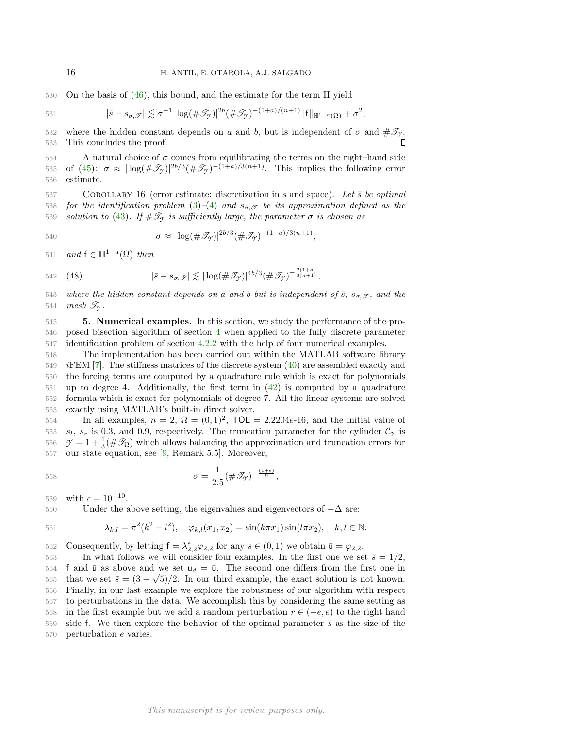530 On the basis of [\(46\)](#page-14-0), this bound, and the estimate for the term II yield

531 
$$
|\bar{s}-s_{\sigma,\mathcal{T}}| \lesssim \sigma^{-1}|\log(\#\mathcal{T}_{\mathcal{T}})|^{2b}(\#\mathcal{T}_{\mathcal{T}})^{-(1+a)/(n+1)}\|f\|_{\mathbb{H}^{1-a}(\Omega)} + \sigma^2,
$$

532 where the hidden constant depends on a and b, but is independent of  $\sigma$  and  $\#\mathcal{F}_{\mathcal{Y}}$ . 533 This concludes the proof. П

534 A natural choice of  $\sigma$  comes from equilibrating the terms on the right–hand side 535 of [\(45\)](#page-13-0):  $\sigma \approx |\log(\#\mathscr{T}_{\gamma})|^{2b/3}(\#\mathscr{T}_{\gamma})^{-(1+a)/3(n+1)}$ . This implies the following error 536 estimate.

<span id="page-15-1"></span>537 COROLLARY 16 (error estimate: discretization in s and space). Let  $\bar{s}$  be optimal 538 for the identification problem [\(3\)](#page-1-1)–[\(4\)](#page-1-2) and  $s_{\sigma, \mathscr{T}}$  be its approximation defined as the 539 solution to [\(43\)](#page-12-1). If  $\#\mathcal{T}_{\gamma}$  is sufficiently large, the parameter  $\sigma$  is chosen as

$$
\sigma \approx |\log(\#\mathcal{I}_y)|^{2b/3} (\#\mathcal{I}_y)^{-(1+a)/3(n+1)},
$$

541 and  $f \in \mathbb{H}^{1-a}(\Omega)$  then

$$
542 \quad (48) \qquad \qquad |\bar{s} - s_{\sigma,\mathcal{J}}| \lesssim |\log(\#\mathcal{J}_{\mathcal{J}})|^{4b/3} (\#\mathcal{J}_{\mathcal{J}})^{-\frac{2(1+a)}{3(n+1)}},
$$

543 where the hidden constant depends on a and b but is independent of  $\bar{s}$ ,  $s_{\sigma}$ ,  $\bar{g}$ , and the 544 mesh  $\mathcal{T}_{\gamma}$ .

<span id="page-15-0"></span>545 5. Numerical examples. In this section, we study the performance of the pro-546 posed bisection algorithm of section [4](#page-7-0) when applied to the fully discrete parameter 547 identification problem of section [4.2.2](#page-12-3) with the help of four numerical examples.

 The implementation has been carried out within the MATLAB software library *iFEM* [\[7\]](#page-18-11). The stiffness matrices of the discrete system  $(40)$  are assembled exactly and the forcing terms are computed by a quadrature rule which is exact for polynomials up to degree 4. Additionally, the first term in [\(42\)](#page-12-2) is computed by a quadrature formula which is exact for polynomials of degree 7. All the linear systems are solved exactly using MATLAB's built-in direct solver.

 In all examples,  $n = 2$ ,  $\Omega = (0, 1)^2$ ,  $\text{TOL} = 2.2204e-16$ , and the initial value of  $s_l$ ,  $s_r$  is 0.3, and 0.9, respectively. The truncation parameter for the cylinder  $\mathcal{C}_{\gamma}$  is  $\mathcal{Y} = 1 + \frac{1}{3}(\#\mathcal{I}_{\Omega})$  which allows balancing the approximation and truncation errors for our state equation, see [\[9,](#page-18-5) Remark 5.5]. Moreover,

$$
\sigma = \frac{1}{2.5} (\# \mathscr{T}_{\mathcal{Y}})^{-\frac{(1+\epsilon)}{9}},
$$

559 with  $\epsilon = 10^{-10}$ .

560 Under the above setting, the eigenvalues and eigenvectors of  $-\Delta$  are:

561 
$$
\lambda_{k,l} = \pi^2(k^2 + l^2), \quad \varphi_{k,l}(x_1, x_2) = \sin(k\pi x_1)\sin(l\pi x_2), \quad k, l \in \mathbb{N}.
$$

562 Consequently, by letting  $f = \lambda_{2,2}^s \varphi_{2,2}$  for any  $s \in (0,1)$  we obtain  $\bar{u} = \varphi_{2,2}$ .

563 In what follows we will consider four examples. In the first one we set  $\bar{s} = 1/2$ , 564 f and  $\bar{u}$  as above and we set  $u_d = \bar{u}$ . The second one differs from the first one in 565 that we set  $\bar{s} = (3 - \sqrt{5})/2$ . In our third example, the exact solution is not known. 566 Finally, in our last example we explore the robustness of our algorithm with respect 567 to perturbations in the data. We accomplish this by considering the same setting as 568 in the first example but we add a random perturbation  $r \in (-e, e)$  to the right hand 569 side f. We then explore the behavior of the optimal parameter  $\bar{s}$  as the size of the 570 perturbation e varies.

$$
16
$$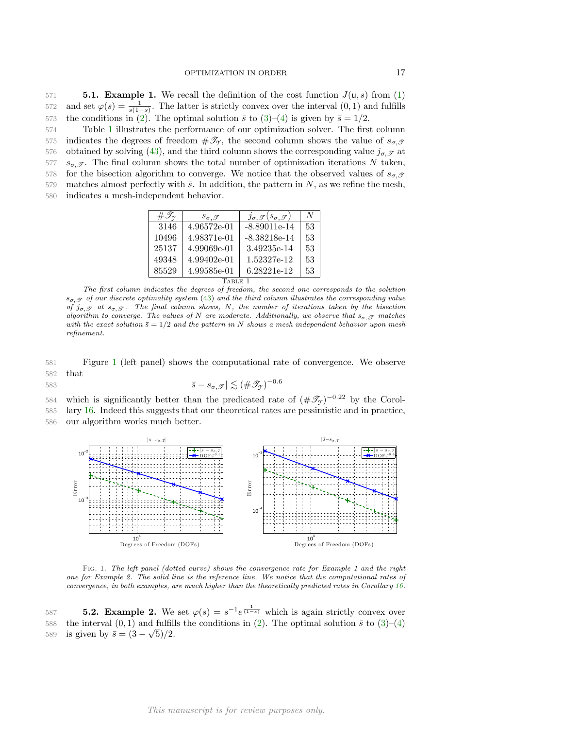<span id="page-16-2"></span>571 **5.1. Example 1.** We recall the definition of the cost function  $J(u, s)$  from [\(1\)](#page-0-0) 572 and set  $\varphi(s) = \frac{1}{s(1-s)}$ . The latter is strictly convex over the interval  $(0, 1)$  and fulfills 573 the conditions in [\(2\)](#page-1-3). The optimal solution  $\bar{s}$  to [\(3\)](#page-1-1)–[\(4\)](#page-1-2) is given by  $\bar{s} = 1/2$ .

<span id="page-16-0"></span>574 Table [1](#page-16-0) illustrates the performance of our optimization solver. The first column 575 indicates the degrees of freedom  $\#\mathscr{T}_{\gamma}$ , the second column shows the value of  $s_{\sigma,\mathscr{T}}$ 576 obtained by solving [\(43\)](#page-12-1), and the third column shows the corresponding value  $j_{\sigma,\mathcal{T}}$  at 577  $s_{\sigma,\mathcal{T}}$ . The final column shows the total number of optimization iterations N taken, 578 for the bisection algorithm to converge. We notice that the observed values of  $s_{\sigma,\mathscr{T}}$ 579 matches almost perfectly with  $\bar{s}$ . In addition, the pattern in N, as we refine the mesh, 580 indicates a mesh-independent behavior.

| $\#\mathscr{T}_{\gamma}$ | $s_{\sigma, \mathscr{T}}$ | $j_{\sigma, \mathscr{T}}(s_{\sigma, \mathscr{T}})$ | N  |
|--------------------------|---------------------------|----------------------------------------------------|----|
| 3146                     | 4.96572e-01               | $-8.89011e-14$                                     | 53 |
| 10496                    | 4.98371e-01               | $-8.38218e-14$                                     | 53 |
| 25137                    | 4.99069e-01               | 3.49235e-14                                        | 53 |
| 49348                    | 4.99402e-01               | 1.52327e-12                                        | 53 |
| 85529                    | 4.99585e-01               | 6.28221e-12                                        | 53 |
| <b>TABLE</b>             |                           |                                                    |    |

The first column indicates the degrees of freedom, the second one corresponds to the solution  $s_{\sigma,\mathcal{T}}$  of our discrete optimality system [\(43\)](#page-12-1) and the third column illustrates the corresponding value of  $j_{\sigma,\mathcal{T}}$  at  $s_{\sigma,\mathcal{T}}$ . The final column shows, N, the number of iterations taken by the bisection algorithm to converge. The values of N are moderate. Additionally, we observe that  $s_{\sigma}$ ,  $\sigma$  matches with the exact solution  $\bar{s} = 1/2$  and the pattern in N shows a mesh independent behavior upon mesh refinement.

581 Figure [1](#page-16-1) (left panel) shows the computational rate of convergence. We observe 582 that

583

$$
|\bar{s} - s_{\sigma, \mathcal{T}}| \lesssim (\#\mathscr{T}_{\mathcal{T}})^{-0.6}
$$

584 which is significantly better than the predicated rate of  $(\#\mathscr{T}_{\mathscr{F}})^{-0.22}$  by the Corol-585 lary [16.](#page-15-1) Indeed this suggests that our theoretical rates are pessimistic and in practice, 586 our algorithm works much better.

<span id="page-16-1"></span>

Fig. 1. The left panel (dotted curve) shows the convergence rate for Example 1 and the right one for Example 2. The solid line is the reference line. We notice that the computational rates of convergence, in both examples, are much higher than the theoretically predicted rates in Corollary [16.](#page-15-1)

587 **5.2. Example 2.** We set  $\varphi(s) = s^{-1}e^{\frac{1}{(1-s)}}$  which is again strictly convex over 588 the interval  $(0, 1)$  and fulfills the conditions in [\(2\)](#page-1-3). The optimal solution  $\bar{s}$  to  $(3)-(4)$  $(3)-(4)$ 589 is given by  $\bar{s} = (3 - \sqrt{5})/2$ .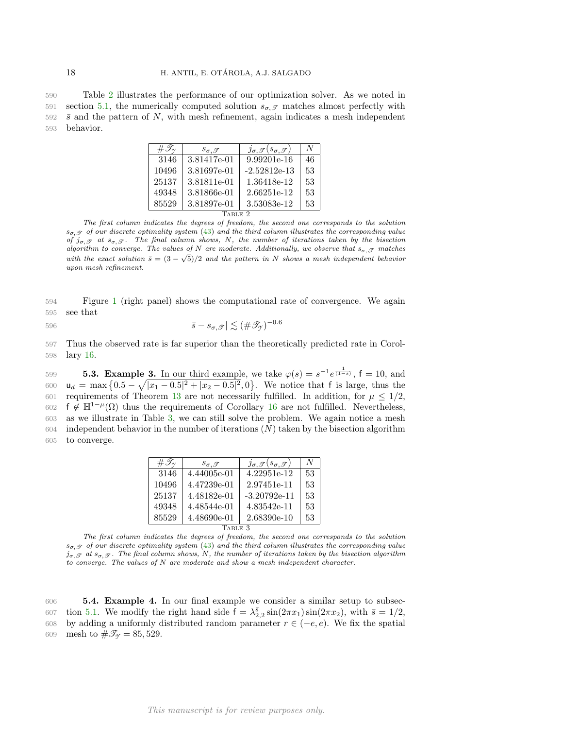<span id="page-17-0"></span>590 Table [2](#page-17-0) illustrates the performance of our optimization solver. As we noted in 591 section [5.1,](#page-16-2) the numerically computed solution  $s_{\sigma,\mathcal{T}}$  matches almost perfectly with  $592\quad \bar{s}$  and the pattern of N, with mesh refinement, again indicates a mesh independent 593 behavior.

| $\#\mathscr{T}_{\gamma}$ | $s_{\sigma, \mathscr{T}}$ | $j_{\sigma, \mathscr{T}}(s_{\sigma, \mathscr{T}})$ | N  |
|--------------------------|---------------------------|----------------------------------------------------|----|
| 3146                     | 3.81417e-01               | 9.99201e-16                                        | 46 |
| 10496                    | 3.81697e-01               | $-2.52812e-13$                                     | 53 |
| 25137                    | 3.81811e-01               | 1.36418e-12                                        | 53 |
| 49348                    | 3.81866e-01               | 2.66251e-12                                        | 53 |
| 85529                    | 3.81897e-01               | 3.53083e-12                                        | 53 |
| <b>TABLE</b>             |                           |                                                    |    |

The first column indicates the degrees of freedom, the second one corresponds to the solution  $s_{\sigma,\mathcal{T}}$  of our discrete optimality system [\(43\)](#page-12-1) and the third column illustrates the corresponding value of  $j_{\sigma,\mathcal{T}}$  at  $s_{\sigma,\mathcal{T}}$ . The final column shows, N, the number of iterations taken by the bisection algorithm to converge. The values of N are moderate. Additionally, we observe that  $s_{\sigma, \mathcal{T}}$  matches with the exact solution  $\bar{s} = (3 - \sqrt{5})/2$  and the pattern in N shows a mesh independent behavior upon mesh refinement.

594 Figure [1](#page-16-1) (right panel) shows the computational rate of convergence. We again 595 see that

$$
| \bar{s} - s_{\sigma, \mathcal{J}} | \lesssim (\# \mathcal{I}_{\mathcal{Y}})^{-0.6}
$$

597 Thus the observed rate is far superior than the theoretically predicted rate in Corol-598 lary [16.](#page-15-1)

**5.3. Example 3.** In our third example, we take  $\varphi(s) = s^{-1}e^{\frac{1}{(1-s)}}$ ,  $f = 10$ , and  $u_d = \max\left\{0.5 - \sqrt{|x_1 - 0.5|^2 + |x_2 - 0.5|^2}, 0\right\}$ . We notice that f is large, thus the 601 requirements of Theorem [13](#page-10-2) are not necessarily fulfilled. In addition, for  $\mu \leq 1/2$ , 602 f  $\notin \mathbb{H}^{1-\mu}(\Omega)$  thus the requirements of Corollary [16](#page-15-1) are not fulfilled. Nevertheless, as we illustrate in Table [3,](#page-17-1) we can still solve the problem. We again notice a mesh independent behavior in the number of iterations  $(N)$  taken by the bisection algorithm to converge.

| $\#\mathscr{T}_{\gamma}$ | $s_{\sigma, \mathscr{T}}$ | $j_{\sigma, \mathscr{T}}(s_{\sigma, \mathscr{T}})$ | N  |
|--------------------------|---------------------------|----------------------------------------------------|----|
| 3146                     | 4.44005e-01               | 4.22951e-12                                        | 53 |
| 10496                    | 4.47239e-01               | 2.97451e-11                                        | 53 |
| 25137                    | 4.48182e-01               | $-3.20792e-11$                                     | 53 |
| 49348                    | 4.48544e-01               | 4.83542e-11                                        | 53 |
| 85529                    | 4.48690e-01               | 2.68390e-10                                        | 53 |
| ABLE 3                   |                           |                                                    |    |

<span id="page-17-1"></span>The first column indicates the degrees of freedom, the second one corresponds to the solution  $s_{\sigma,\mathcal{T}}$  of our discrete optimality system [\(43\)](#page-12-1) and the third column illustrates the corresponding value  $j_{\sigma,\mathcal{T}}$  at  $s_{\sigma,\mathcal{T}}$ . The final column shows, N, the number of iterations taken by the bisection algorithm to converge. The values of N are moderate and show a mesh independent character.

606 5.4. Example 4. In our final example we consider a similar setup to subsec-607 tion [5.1.](#page-16-2) We modify the right hand side  $f = \lambda_{2,2}^{\bar{s}} \sin(2\pi x_1) \sin(2\pi x_2)$ , with  $\bar{s} = 1/2$ , 608 by adding a uniformly distributed random parameter  $r \in (-e, e)$ . We fix the spatial 609 mesh to  $\#\mathscr{T}_{\gamma} = 85,529$ .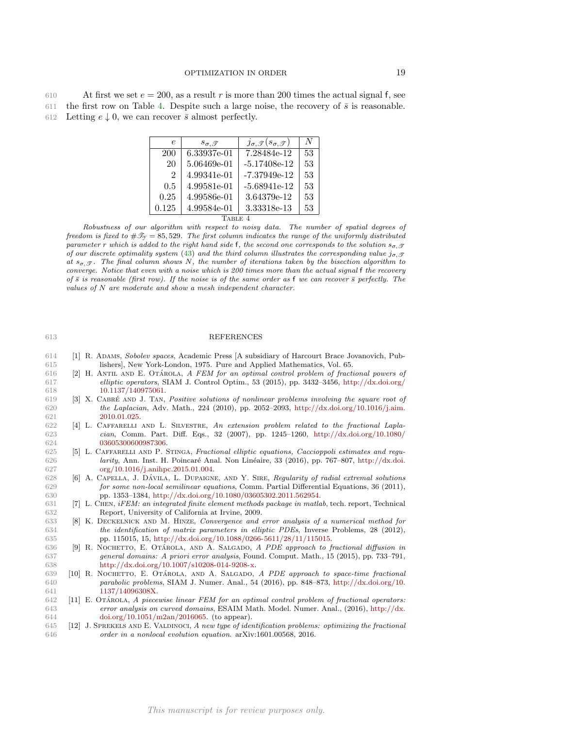<span id="page-18-12"></span>

| 610 | At first we set $e = 200$ , as a result r is more than 200 times the actual signal f, see          |
|-----|----------------------------------------------------------------------------------------------------|
|     | 611 the first row on Table 4. Despite such a large noise, the recovery of $\bar{s}$ is reasonable. |
|     | 612 Letting $e \downarrow 0$ , we can recover $\bar{s}$ almost perfectly.                          |

| $\epsilon$     | $s_{\sigma, \mathscr{T}}$ | $j_{\sigma, \mathscr{T}}(s_{\sigma, \mathscr{T}})$ | N  |
|----------------|---------------------------|----------------------------------------------------|----|
| 200            | 6.33937e-01               | 7.28484e-12                                        | 53 |
| 20             | 5.06469e-01               | $-5.17408e-12$                                     | 53 |
| $\mathfrak{D}$ | 4.99341e-01               | $-7.37949e-12$                                     | 53 |
| 0.5            | 4.99581e-01               | $-5.68941e-12$                                     | 53 |
| 0.25           | 4.99586e-01               | 3.64379e-12                                        | 53 |
| 0.125          | 4.99584e-01               | 3.33318e-13                                        | 53 |
|                |                           |                                                    |    |

Robustness of our algorithm with respect to noisy data. The number of spatial degrees of freedom is fixed to  $\#\mathcal{I}_\gamma = 85,529$ . The first column indicates the range of the uniformly distributed parameter r which is added to the right hand side f, the second one corresponds to the solution  $s_{\sigma,\mathcal{F}}$ of our discrete optimality system [\(43\)](#page-12-1) and the third column illustrates the corresponding value  $j_{\sigma,\mathcal{F}}$ at  $s_{\sigma,\mathscr{T}}$ . The final column shows N, the number of iterations taken by the bisection algorithm to converge. Notice that even with a noise which is 200 times more than the actual signal f the recovery of  $\bar{s}$  is reasonable (first row). If the noise is of the same order as f we can recover  $\bar{s}$  perfectly. The values of N are moderate and show a mesh independent character.

## 613 REFERENCES

- <span id="page-18-6"></span>614 [1] R. Adams, Sobolev spaces, Academic Press [A subsidiary of Harcourt Brace Jovanovich, Pub-615 lishers], New York-London, 1975. Pure and Applied Mathematics, Vol. 65.
- <span id="page-18-0"></span>616 [2] H. ANTIL AND E. OTÁROLA, A FEM for an optimal control problem of fractional powers of 617 elliptic operators, SIAM J. Control Optim., 53 (2015), pp. 3432–3456, [http://dx.doi.org/](http://dx.doi.org/10.1137/140975061) 618 [10.1137/140975061.](http://dx.doi.org/10.1137/140975061)
- <span id="page-18-7"></span>619 [3] X. CABRÉ AND J. TAN, Positive solutions of nonlinear problems involving the square root of 620 the Laplacian, Adv. Math., 224 (2010), pp. 2052–2093, [http://dx.doi.org/10.1016/j.aim.](http://dx.doi.org/10.1016/j.aim.2010.01.025) 621 [2010.01.025.](http://dx.doi.org/10.1016/j.aim.2010.01.025)
- <span id="page-18-8"></span>622 [4] L. Caffarelli and L. Silvestre, An extension problem related to the fractional Lapla-623 cian, Comm. Part. Diff. Eqs., 32 (2007), pp. 1245–1260, [http://dx.doi.org/10.1080/](http://dx.doi.org/10.1080/03605300600987306) 624 [03605300600987306.](http://dx.doi.org/10.1080/03605300600987306)
- <span id="page-18-3"></span>625 [5] L. Caffarelli and P. Stinga, Fractional elliptic equations, Caccioppoli estimates and regu-626 *larity*, Ann. Inst. H. Poincaré Anal. Non Linéaire, 33 (2016), pp. 767–807, [http://dx.doi.](http://dx.doi.org/10.1016/j.anihpc.2015.01.004) 627 [org/10.1016/j.anihpc.2015.01.004.](http://dx.doi.org/10.1016/j.anihpc.2015.01.004)
- <span id="page-18-4"></span>628 [6] A. CAPELLA, J. DÁVILA, L. DUPAIGNE, AND Y. SIRE, *Regularity of radial extremal solutions* for *some non-local semilinear equations*, Comm. Partial Differential Equations, 36 (2011), for some non-local semilinear equations, Comm. Partial Differential Equations, 36 (2011), 630 pp. 1353–1384, [http://dx.doi.org/10.1080/03605302.2011.562954.](http://dx.doi.org/10.1080/03605302.2011.562954)
- <span id="page-18-11"></span>631 [7] L. Chen, iFEM: an integrated finite element methods package in matlab, tech. report, Technical 632 Report, University of California at Irvine, 2009.
- <span id="page-18-2"></span>633 [8] K. DECKELNICK AND M. HINZE, Convergence and error analysis of a numerical method for the identification of matrix parameters in elliptic PDEs. Inverse Problems, 28 (2012), 634 the identification of matrix parameters in elliptic PDEs, Inverse Problems, 28 (2012), 635 pp. 115015, 15, [http://dx.doi.org/10.1088/0266-5611/28/11/115015.](http://dx.doi.org/10.1088/0266-5611/28/11/115015)
- <span id="page-18-5"></span>636 [9] R. NOCHETTO, E. OTÁROLA, AND A. SALGADO, A PDE approach to fractional diffusion in 637 general domains: A priori error analysis, Found. Comput. Math., 15 (2015), pp. 733–791, 638 [http://dx.doi.org/10.1007/s10208-014-9208-x.](http://dx.doi.org/10.1007/s10208-014-9208-x)
- <span id="page-18-10"></span>639 [10] R. NOCHETTO, E. OTÁROLA, AND A. SALGADO, A PDE approach to space-time fractional 640 parabolic problems, SIAM J. Numer. Anal., 54 (2016), pp. 848–873, [http://dx.doi.org/10.](http://dx.doi.org/10.1137/14096308X) 641 [1137/14096308X.](http://dx.doi.org/10.1137/14096308X)
- <span id="page-18-9"></span> $642$  [11] E. OTÁROLA, A piecewise linear FEM for an optimal control problem of fractional operators: 643 error analysis on curved domains, ESAIM Math. Model. Numer. Anal., (2016), [http://dx.](http://dx.doi.org/10.1051/m2an/2016065) 644 [doi.org/10.1051/m2an/2016065.](http://dx.doi.org/10.1051/m2an/2016065) (to appear).
- <span id="page-18-1"></span>645 [12] J. Sprekels and E. Valdinoci, A new type of identification problems: optimizing the fractional 646 order in a nonlocal evolution equation. arXiv:1601.00568, 2016.